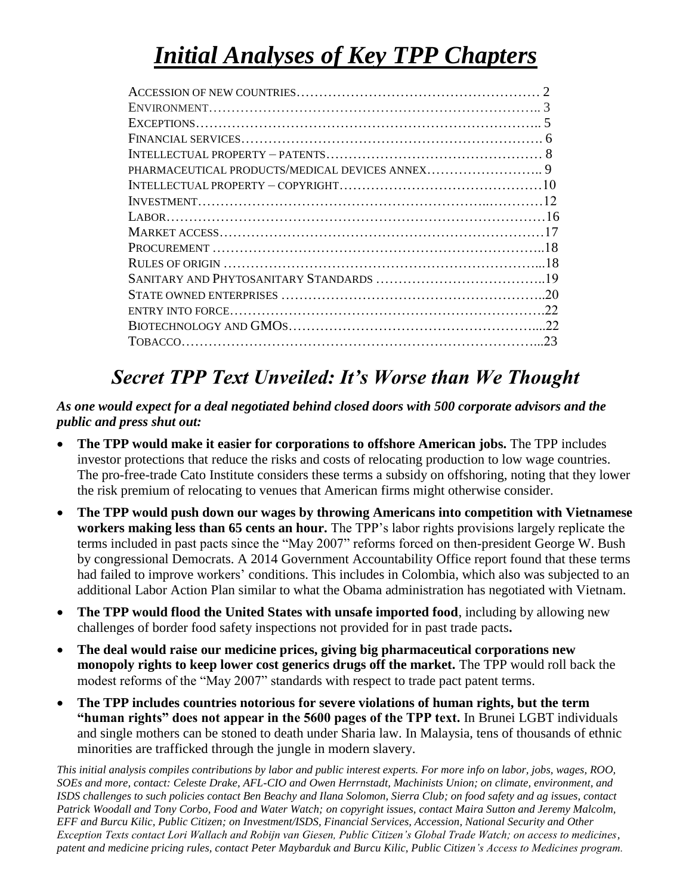# *Initial Analyses of Key TPP Chapters*

| 22 |
|----|
| 22 |
| 23 |
|    |

# *Secret TPP Text Unveiled: It's Worse than We Thought*

#### *As one would expect for a deal negotiated behind closed doors with 500 corporate advisors and the public and press shut out:*

- **The TPP would make it easier for corporations to offshore American jobs.** The TPP includes investor protections that reduce the risks and costs of relocating production to low wage countries. The pro-free-trade Cato Institute considers these terms a subsidy on offshoring, noting that they lower the risk premium of relocating to venues that American firms might otherwise consider.
- **The TPP would push down our wages by throwing Americans into competition with Vietnamese workers making less than 65 cents an hour.** The TPP's labor rights provisions largely replicate the terms included in past pacts since the "May 2007" reforms forced on then-president George W. Bush by congressional Democrats. A 2014 Government Accountability Office report found that these terms had failed to improve workers' conditions. This includes in Colombia, which also was subjected to an additional Labor Action Plan similar to what the Obama administration has negotiated with Vietnam.
- **The TPP would flood the United States with unsafe imported food**, including by allowing new challenges of border food safety inspections not provided for in past trade pacts**.**
- **The deal would raise our medicine prices, giving big pharmaceutical corporations new monopoly rights to keep lower cost generics drugs off the market.** The TPP would roll back the modest reforms of the "May 2007" standards with respect to trade pact patent terms.
- **The TPP includes countries notorious for severe violations of human rights, but the term "human rights" does not appear in the 5600 pages of the TPP text.** In Brunei LGBT individuals and single mothers can be stoned to death under Sharia law. In Malaysia, tens of thousands of ethnic minorities are trafficked through the jungle in modern slavery.

*This initial analysis compiles contributions by labor and public interest experts. For more info on labor, jobs, wages, ROO, SOEs and more, contact: Celeste Drake, AFL-CIO and Owen Herrnstadt, Machinists Union; on climate, environment, and ISDS challenges to such policies contact Ben Beachy and Ilana Solomon, Sierra Club; on food safety and ag issues, contact Patrick Woodall and Tony Corbo, Food and Water Watch; on copyright issues, contact Maira Sutton and Jeremy Malcolm, EFF and Burcu Kilic, Public Citizen; on Investment/ISDS, Financial Services, Accession, National Security and Other Exception Texts contact Lori Wallach and Robijn van Giesen, Public Citizen's Global Trade Watch; on access to medicines, patent and medicine pricing rules, contact Peter Maybarduk and Burcu Kilic, Public Citizen's Access to Medicines program.*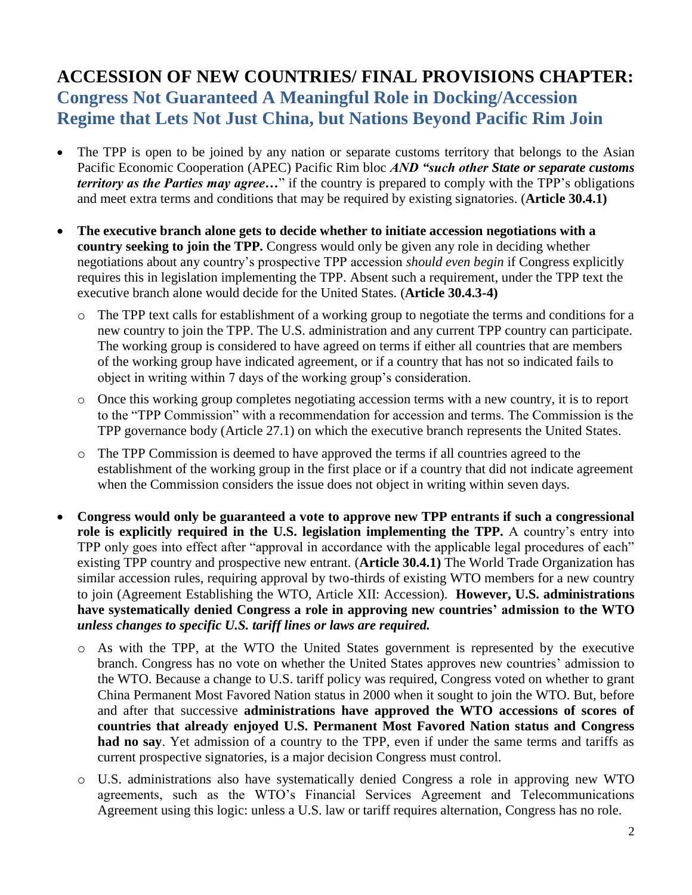#### **ACCESSION OF NEW COUNTRIES/ FINAL PROVISIONS CHAPTER: Congress Not Guaranteed A Meaningful Role in Docking/Accession Regime that Lets Not Just China, but Nations Beyond Pacific Rim Join**

- The TPP is open to be joined by any nation or separate customs territory that belongs to the Asian Pacific Economic Cooperation (APEC) Pacific Rim bloc *AND "such other State or separate customs territory as the Parties may agree…*" if the country is prepared to comply with the TPP's obligations and meet extra terms and conditions that may be required by existing signatories. (**Article 30.4.1)**
- **The executive branch alone gets to decide whether to initiate accession negotiations with a country seeking to join the TPP.** Congress would only be given any role in deciding whether negotiations about any country's prospective TPP accession *should even begin* if Congress explicitly requires this in legislation implementing the TPP. Absent such a requirement, under the TPP text the executive branch alone would decide for the United States. (**Article 30.4.3-4)** 
	- o The TPP text calls for establishment of a working group to negotiate the terms and conditions for a new country to join the TPP. The U.S. administration and any current TPP country can participate. The working group is considered to have agreed on terms if either all countries that are members of the working group have indicated agreement, or if a country that has not so indicated fails to object in writing within 7 days of the working group's consideration.
	- o Once this working group completes negotiating accession terms with a new country, it is to report to the "TPP Commission" with a recommendation for accession and terms. The Commission is the TPP governance body (Article 27.1) on which the executive branch represents the United States.
	- o The TPP Commission is deemed to have approved the terms if all countries agreed to the establishment of the working group in the first place or if a country that did not indicate agreement when the Commission considers the issue does not object in writing within seven days.
- **Congress would only be guaranteed a vote to approve new TPP entrants if such a congressional role is explicitly required in the U.S. legislation implementing the TPP.** A country's entry into TPP only goes into effect after "approval in accordance with the applicable legal procedures of each" existing TPP country and prospective new entrant. (**Article 30.4.1)** The World Trade Organization has similar accession rules, requiring approval by two-thirds of existing WTO members for a new country to join (Agreement Establishing the WTO, Article XII: Accession). **However, U.S. administrations have systematically denied Congress a role in approving new countries' admission to the WTO**  *unless changes to specific U.S. tariff lines or laws are required.*
	- o As with the TPP, at the WTO the United States government is represented by the executive branch. Congress has no vote on whether the United States approves new countries' admission to the WTO. Because a change to U.S. tariff policy was required, Congress voted on whether to grant China Permanent Most Favored Nation status in 2000 when it sought to join the WTO. But, before and after that successive **administrations have approved the WTO accessions of scores of countries that already enjoyed U.S. Permanent Most Favored Nation status and Congress had no say**. Yet admission of a country to the TPP, even if under the same terms and tariffs as current prospective signatories, is a major decision Congress must control.
	- o U.S. administrations also have systematically denied Congress a role in approving new WTO agreements, such as the WTO's Financial Services Agreement and Telecommunications Agreement using this logic: unless a U.S. law or tariff requires alternation, Congress has no role.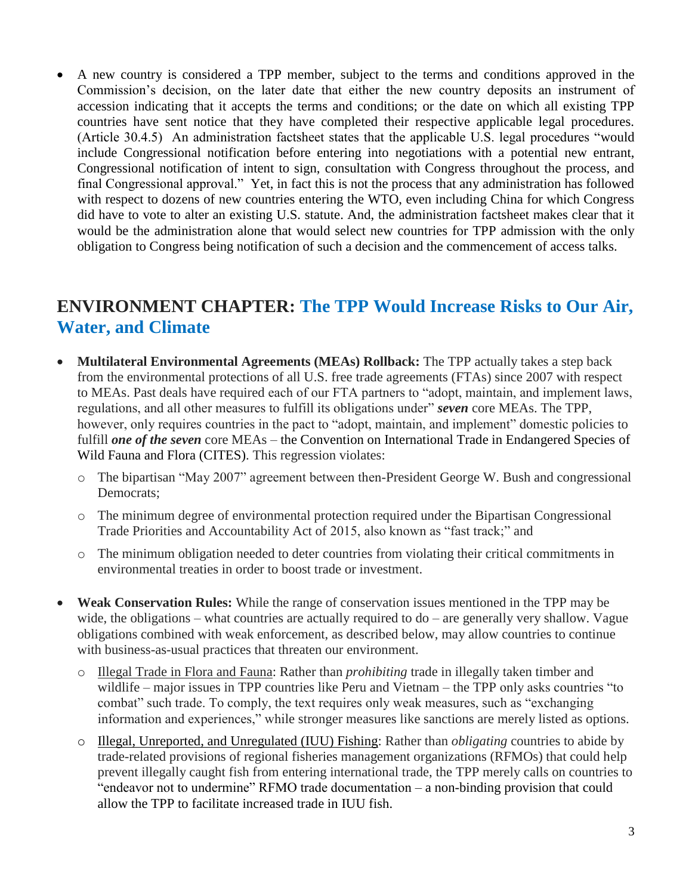A new country is considered a TPP member, subject to the terms and conditions approved in the Commission's decision, on the later date that either the new country deposits an instrument of accession indicating that it accepts the terms and conditions; or the date on which all existing TPP countries have sent notice that they have completed their respective applicable legal procedures. (Article 30.4.5) An administration factsheet states that the applicable U.S. legal procedures "would include Congressional notification before entering into negotiations with a potential new entrant, Congressional notification of intent to sign, consultation with Congress throughout the process, and final Congressional approval." Yet, in fact this is not the process that any administration has followed with respect to dozens of new countries entering the WTO, even including China for which Congress did have to vote to alter an existing U.S. statute. And, the administration factsheet makes clear that it would be the administration alone that would select new countries for TPP admission with the only obligation to Congress being notification of such a decision and the commencement of access talks.

#### **ENVIRONMENT CHAPTER: The TPP Would Increase Risks to Our Air, Water, and Climate**

- **Multilateral Environmental Agreements (MEAs) Rollback:** The TPP actually takes a step back from the environmental protections of all U.S. free trade agreements (FTAs) since 2007 with respect to MEAs. Past deals have required each of our FTA partners to "adopt, maintain, and implement laws, regulations, and all other measures to fulfill its obligations under" *seven* core MEAs. The TPP, however, only requires countries in the pact to "adopt, maintain, and implement" domestic policies to fulfill *one of the seven* core MEAs – the Convention on International Trade in Endangered Species of Wild Fauna and Flora (CITES). This regression violates:
	- o The bipartisan "May 2007" agreement between then-President George W. Bush and congressional Democrats:
	- o The minimum degree of environmental protection required under the Bipartisan Congressional Trade Priorities and Accountability Act of 2015, also known as "fast track;" and
	- o The minimum obligation needed to deter countries from violating their critical commitments in environmental treaties in order to boost trade or investment.
- **Weak Conservation Rules:** While the range of conservation issues mentioned in the TPP may be wide, the obligations – what countries are actually required to do – are generally very shallow. Vague obligations combined with weak enforcement, as described below, may allow countries to continue with business-as-usual practices that threaten our environment.
	- o Illegal Trade in Flora and Fauna: Rather than *prohibiting* trade in illegally taken timber and wildlife – major issues in TPP countries like Peru and Vietnam – the TPP only asks countries "to" combat" such trade. To comply, the text requires only weak measures, such as "exchanging information and experiences," while stronger measures like sanctions are merely listed as options.
	- o Illegal, Unreported, and Unregulated (IUU) Fishing: Rather than *obligating* countries to abide by trade-related provisions of regional fisheries management organizations (RFMOs) that could help prevent illegally caught fish from entering international trade, the TPP merely calls on countries to "endeavor not to undermine" RFMO trade documentation – a non-binding provision that could allow the TPP to facilitate increased trade in IUU fish.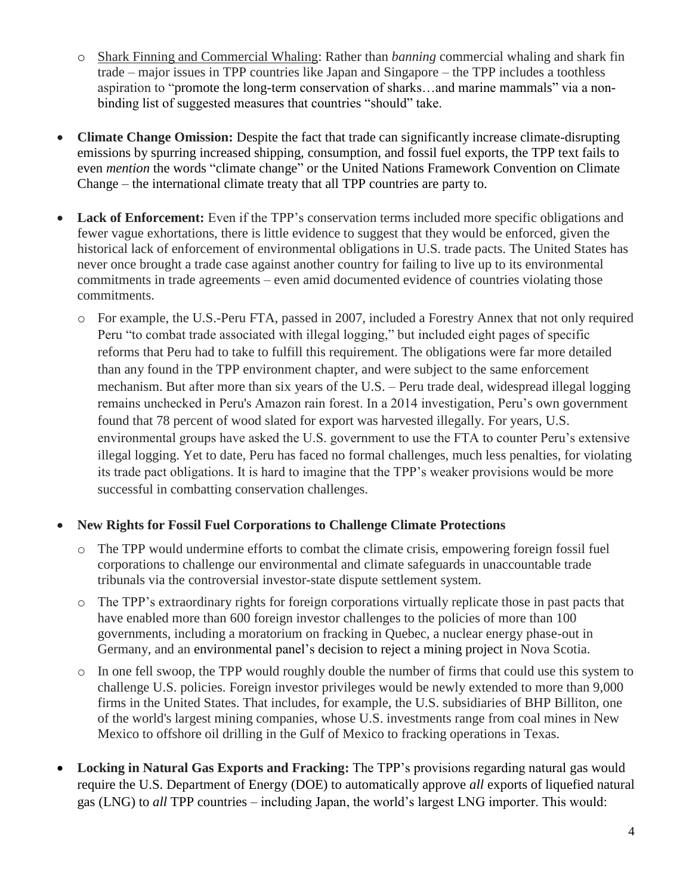- o Shark Finning and Commercial Whaling: Rather than *banning* commercial whaling and shark fin trade – major issues in TPP countries like Japan and Singapore – the TPP includes a toothless aspiration to "promote the long-term conservation of sharks…and marine mammals" via a nonbinding list of suggested measures that countries "should" take.
- **Climate Change Omission:** Despite the fact that trade can significantly increase climate-disrupting emissions by spurring increased shipping, consumption, and fossil fuel exports, the TPP text fails to even *mention* the words "climate change" or the United Nations Framework Convention on Climate Change – the international climate treaty that all TPP countries are party to.
- Lack of Enforcement: Even if the TPP's conservation terms included more specific obligations and fewer vague exhortations, there is little evidence to suggest that they would be enforced, given the historical lack of enforcement of environmental obligations in U.S. trade pacts. The United States has never once brought a trade case against another country for failing to live up to its environmental commitments in trade agreements – even amid documented evidence of countries violating those commitments.
	- o For example, the U.S.-Peru FTA, passed in 2007, included a Forestry Annex that not only required Peru "to combat trade associated with illegal logging," but included eight pages of specific reforms that Peru had to take to fulfill this requirement. The obligations were far more detailed than any found in the TPP environment chapter, and were subject to the same enforcement mechanism. But after more than six years of the U.S. – Peru trade deal, widespread illegal logging remains unchecked in Peru's Amazon rain forest. In a 2014 investigation, Peru's own government found that 78 percent of wood slated for export was harvested illegally. For years, U.S. environmental groups have asked the U.S. government to use the FTA to counter Peru's extensive illegal logging. Yet to date, Peru has faced no formal challenges, much less penalties, for violating its trade pact obligations. It is hard to imagine that the TPP's weaker provisions would be more successful in combatting conservation challenges.

#### **New Rights for Fossil Fuel Corporations to Challenge Climate Protections**

- o The TPP would undermine efforts to combat the climate crisis, empowering foreign fossil fuel corporations to challenge our environmental and climate safeguards in unaccountable trade tribunals via the controversial investor-state dispute settlement system.
- o The TPP's extraordinary rights for foreign corporations virtually replicate those in past pacts that have enabled more than 600 foreign investor challenges to the policies of more than 100 governments, including a moratorium on fracking in Quebec, a nuclear energy phase-out in Germany, and an environmental panel's decision to reject a mining project in Nova Scotia.
- o In one fell swoop, the TPP would roughly double the number of firms that could use this system to challenge U.S. policies. Foreign investor privileges would be newly extended to more than 9,000 firms in the United States. That includes, for example, the U.S. subsidiaries of BHP Billiton, one of the world's largest mining companies, whose U.S. investments range from coal mines in New Mexico to offshore oil drilling in the Gulf of Mexico to fracking operations in Texas.
- **Locking in Natural Gas Exports and Fracking:** The TPP's provisions regarding natural gas would require the U.S. Department of Energy (DOE) to automatically approve *all* exports of liquefied natural gas (LNG) to *all* TPP countries – including Japan, the world's largest LNG importer. This would: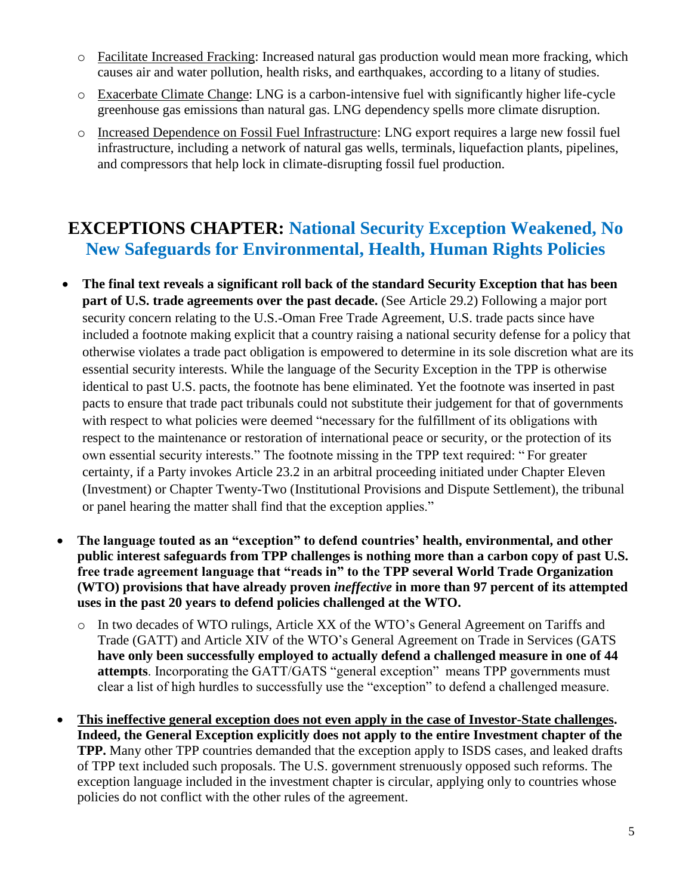- o Facilitate Increased Fracking: Increased natural gas production would mean more fracking, which causes air and water pollution, health risks, and earthquakes, according to a litany of studies.
- o Exacerbate Climate Change: LNG is a carbon-intensive fuel with significantly higher life-cycle greenhouse gas emissions than natural gas. LNG dependency spells more climate disruption.
- o Increased Dependence on Fossil Fuel Infrastructure: LNG export requires a large new fossil fuel infrastructure, including a network of natural gas wells, terminals, liquefaction plants, pipelines, and compressors that help lock in climate-disrupting fossil fuel production.

#### **EXCEPTIONS CHAPTER: National Security Exception Weakened, No New Safeguards for Environmental, Health, Human Rights Policies**

- **The final text reveals a significant roll back of the standard Security Exception that has been part of U.S. trade agreements over the past decade.** (See Article 29.2) Following a major port security concern relating to the U.S.-Oman Free Trade Agreement, U.S. trade pacts since have included a footnote making explicit that a country raising a national security defense for a policy that otherwise violates a trade pact obligation is empowered to determine in its sole discretion what are its essential security interests. While the language of the Security Exception in the TPP is otherwise identical to past U.S. pacts, the footnote has bene eliminated. Yet the footnote was inserted in past pacts to ensure that trade pact tribunals could not substitute their judgement for that of governments with respect to what policies were deemed "necessary for the fulfillment of its obligations with respect to the maintenance or restoration of international peace or security, or the protection of its own essential security interests." The footnote missing in the TPP text required: " For greater certainty, if a Party invokes Article 23.2 in an arbitral proceeding initiated under Chapter Eleven (Investment) or Chapter Twenty-Two (Institutional Provisions and Dispute Settlement), the tribunal or panel hearing the matter shall find that the exception applies."
- **The language touted as an "exception" to defend countries' health, environmental, and other public interest safeguards from TPP challenges is nothing more than a carbon copy of past U.S. free trade agreement language that "reads in" to the TPP several World Trade Organization (WTO) provisions that have already proven** *ineffective* **in more than 97 percent of its attempted uses in the past 20 years to defend policies challenged at the WTO.**
	- o In two decades of WTO rulings, Article XX of the WTO's General Agreement on Tariffs and Trade (GATT) and Article XIV of the WTO's General Agreement on Trade in Services (GATS **have only been successfully employed to actually defend a challenged measure in one of 44 attempts**. Incorporating the GATT/GATS "general exception" means TPP governments must clear a list of high hurdles to successfully use the "exception" to defend a challenged measure.
- **This ineffective general exception does not even apply in the case of Investor-State challenges. Indeed, the General Exception explicitly does not apply to the entire Investment chapter of the TPP.** Many other TPP countries demanded that the exception apply to ISDS cases, and leaked drafts of TPP text included such proposals. The U.S. government strenuously opposed such reforms. The exception language included in the investment chapter is circular, applying only to countries whose policies do not conflict with the other rules of the agreement.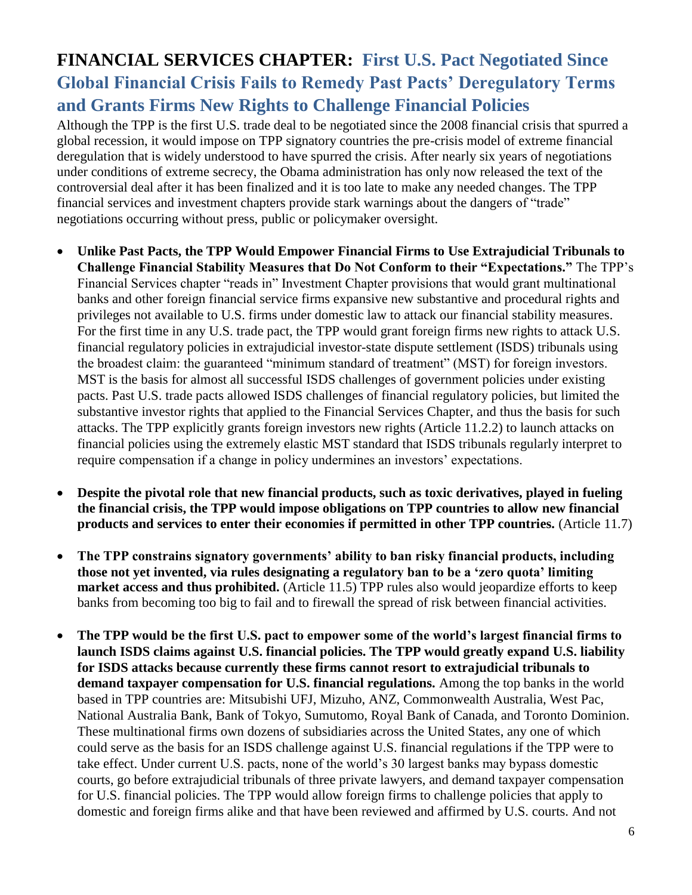# **FINANCIAL SERVICES CHAPTER:****First U.S. Pact Negotiated Since Global Financial Crisis Fails to Remedy Past Pacts' Deregulatory Terms and Grants Firms New Rights to Challenge Financial Policies**

Although the TPP is the first U.S. trade deal to be negotiated since the 2008 financial crisis that spurred a global recession, it would impose on TPP signatory countries the pre-crisis model of extreme financial deregulation that is widely understood to have spurred the crisis. After nearly six years of negotiations under conditions of extreme secrecy, the Obama administration has only now released the text of the controversial deal after it has been finalized and it is too late to make any needed changes. The TPP financial services and investment chapters provide stark warnings about the dangers of "trade" negotiations occurring without press, public or policymaker oversight.

- **Unlike Past Pacts, the TPP Would Empower Financial Firms to Use Extrajudicial Tribunals to Challenge Financial Stability Measures that Do Not Conform to their "Expectations."** The TPP's Financial Services chapter "reads in" Investment Chapter provisions that would grant multinational banks and other foreign financial service firms expansive new substantive and procedural rights and privileges not available to U.S. firms under domestic law to attack our financial stability measures. For the first time in any U.S. trade pact, the TPP would grant foreign firms new rights to attack U.S. financial regulatory policies in extrajudicial investor-state dispute settlement (ISDS) tribunals using the broadest claim: the guaranteed "minimum standard of treatment" (MST) for foreign investors. MST is the basis for almost all successful ISDS challenges of government policies under existing pacts. Past U.S. trade pacts allowed ISDS challenges of financial regulatory policies, but limited the substantive investor rights that applied to the Financial Services Chapter, and thus the basis for such attacks. The TPP explicitly grants foreign investors new rights (Article 11.2.2) to launch attacks on financial policies using the extremely elastic MST standard that ISDS tribunals regularly interpret to require compensation if a change in policy undermines an investors' expectations.
- **Despite the pivotal role that new financial products, such as toxic derivatives, played in fueling the financial crisis, the TPP would impose obligations on TPP countries to allow new financial products and services to enter their economies if permitted in other TPP countries.** (Article 11.7)
- **The TPP constrains signatory governments' ability to ban risky financial products, including those not yet invented, via rules designating a regulatory ban to be a 'zero quota' limiting market access and thus prohibited.** (Article 11.5) TPP rules also would jeopardize efforts to keep banks from becoming too big to fail and to firewall the spread of risk between financial activities.
- **The TPP would be the first U.S. pact to empower some of the world's largest financial firms to launch ISDS claims against U.S. financial policies. The TPP would greatly expand U.S. liability for ISDS attacks because currently these firms cannot resort to extrajudicial tribunals to demand taxpayer compensation for U.S. financial regulations.** Among the top banks in the world based in TPP countries are: Mitsubishi UFJ, Mizuho, ANZ, Commonwealth Australia, West Pac, National Australia Bank, Bank of Tokyo, Sumutomo, Royal Bank of Canada, and Toronto Dominion. These multinational firms own dozens of subsidiaries across the United States, any one of which could serve as the basis for an ISDS challenge against U.S. financial regulations if the TPP were to take effect. Under current U.S. pacts, none of the world's 30 largest banks may bypass domestic courts, go before extrajudicial tribunals of three private lawyers, and demand taxpayer compensation for U.S. financial policies. The TPP would allow foreign firms to challenge policies that apply to domestic and foreign firms alike and that have been reviewed and affirmed by U.S. courts. And not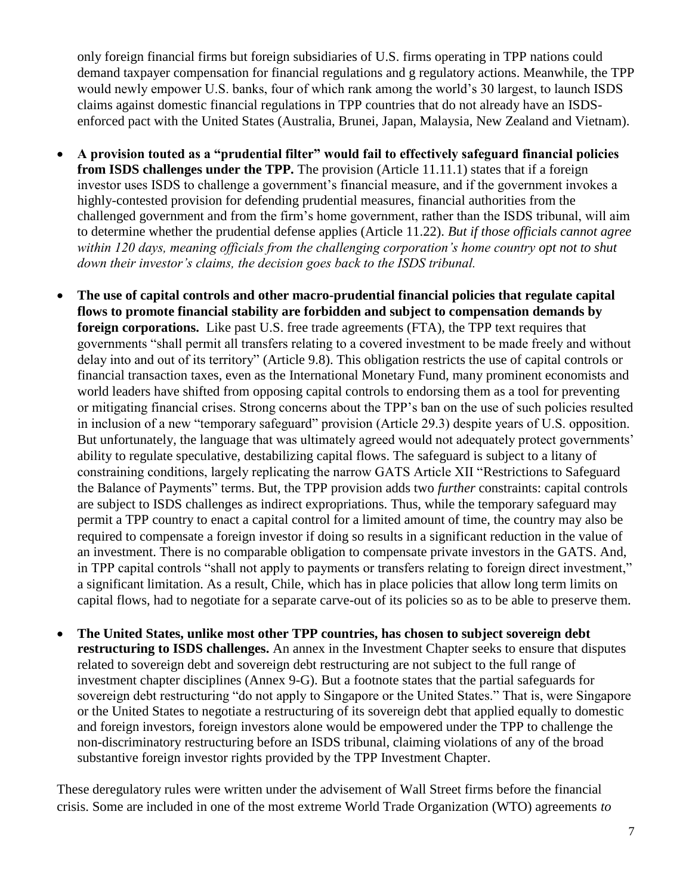only foreign financial firms but foreign subsidiaries of U.S. firms operating in TPP nations could demand taxpayer compensation for financial regulations and g regulatory actions. Meanwhile, the TPP would newly empower U.S. banks, four of which rank among the world's 30 largest, to launch ISDS claims against domestic financial regulations in TPP countries that do not already have an ISDSenforced pact with the United States (Australia, Brunei, Japan, Malaysia, New Zealand and Vietnam).

- **A provision touted as a "prudential filter" would fail to effectively safeguard financial policies from ISDS challenges under the TPP.** The provision (Article 11.11.1) states that if a foreign investor uses ISDS to challenge a government's financial measure, and if the government invokes a highly-contested provision for defending prudential measures, financial authorities from the challenged government and from the firm's home government, rather than the ISDS tribunal, will aim to determine whether the prudential defense applies (Article 11.22). *But if those officials cannot agree within 120 days, meaning officials from the challenging corporation's home country opt not to shut down their investor's claims, the decision goes back to the ISDS tribunal.*
- **The use of capital controls and other macro-prudential financial policies that regulate capital flows to promote financial stability are forbidden and subject to compensation demands by foreign corporations.** Like past U.S. free trade agreements (FTA), the TPP text requires that governments "shall permit all transfers relating to a covered investment to be made freely and without delay into and out of its territory" (Article 9.8). This obligation restricts the use of capital controls or financial transaction taxes, even as the International Monetary Fund, many prominent economists and world leaders have shifted from opposing capital controls to endorsing them as a tool for preventing or mitigating financial crises. Strong concerns about the TPP's ban on the use of such policies resulted in inclusion of a new "temporary safeguard" provision (Article 29.3) despite years of U.S. opposition. But unfortunately, the language that was ultimately agreed would not adequately protect governments' ability to regulate speculative, destabilizing capital flows. The safeguard is subject to a litany of constraining conditions, largely replicating the narrow GATS Article XII "Restrictions to Safeguard the Balance of Payments" terms. But, the TPP provision adds two *further* constraints: capital controls are subject to ISDS challenges as indirect expropriations. Thus, while the temporary safeguard may permit a TPP country to enact a capital control for a limited amount of time, the country may also be required to compensate a foreign investor if doing so results in a significant reduction in the value of an investment. There is no comparable obligation to compensate private investors in the GATS. And, in TPP capital controls "shall not apply to payments or transfers relating to foreign direct investment," a significant limitation. As a result, Chile, which has in place policies that allow long term limits on capital flows, had to negotiate for a separate carve-out of its policies so as to be able to preserve them.
- **The United States, unlike most other TPP countries, has chosen to subject sovereign debt restructuring to ISDS challenges.** An annex in the Investment Chapter seeks to ensure that disputes related to sovereign debt and sovereign debt restructuring are not subject to the full range of investment chapter disciplines (Annex 9-G). But a footnote states that the partial safeguards for sovereign debt restructuring "do not apply to Singapore or the United States." That is, were Singapore or the United States to negotiate a restructuring of its sovereign debt that applied equally to domestic and foreign investors, foreign investors alone would be empowered under the TPP to challenge the non-discriminatory restructuring before an ISDS tribunal, claiming violations of any of the broad substantive foreign investor rights provided by the TPP Investment Chapter.

These deregulatory rules were written under the advisement of Wall Street firms before the financial crisis. Some are included in one of the most extreme World Trade Organization (WTO) agreements *to*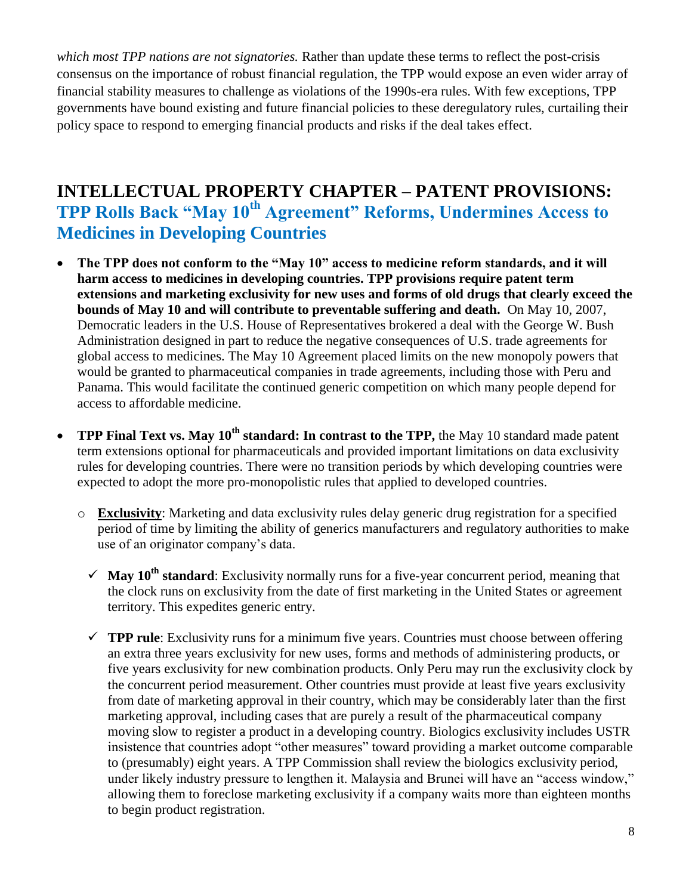*which most TPP nations are not signatories.* Rather than update these terms to reflect the post-crisis consensus on the importance of robust financial regulation, the TPP would expose an even wider array of financial stability measures to challenge as violations of the 1990s-era rules. With few exceptions, TPP governments have bound existing and future financial policies to these deregulatory rules, curtailing their policy space to respond to emerging financial products and risks if the deal takes effect.

### **INTELLECTUAL PROPERTY CHAPTER – PATENT PROVISIONS: TPP Rolls Back "May 10th Agreement" Reforms, Undermines Access to Medicines in Developing Countries**

- **The TPP does not conform to the "May 10" access to medicine reform standards, and it will harm access to medicines in developing countries. TPP provisions require patent term extensions and marketing exclusivity for new uses and forms of old drugs that clearly exceed the bounds of May 10 and will contribute to preventable suffering and death.** On May 10, 2007, Democratic leaders in the U.S. House of Representatives brokered a deal with the George W. Bush Administration designed in part to reduce the negative consequences of U.S. trade agreements for global access to medicines. The May 10 Agreement placed limits on the new monopoly powers that would be granted to pharmaceutical companies in trade agreements, including those with Peru and Panama. This would facilitate the continued generic competition on which many people depend for access to affordable medicine.
- **TPP Final Text vs. May 10th standard: In contrast to the TPP,** the May 10 standard made patent term extensions optional for pharmaceuticals and provided important limitations on data exclusivity rules for developing countries. There were no transition periods by which developing countries were expected to adopt the more pro-monopolistic rules that applied to developed countries.
	- o **Exclusivity**: Marketing and data exclusivity rules delay generic drug registration for a specified period of time by limiting the ability of generics manufacturers and regulatory authorities to make use of an originator company's data.
		- $\checkmark$  **May 10<sup>th</sup> standard**: Exclusivity normally runs for a five-year concurrent period, meaning that the clock runs on exclusivity from the date of first marketing in the United States or agreement territory. This expedites generic entry.
		- $\checkmark$  **TPP rule**: Exclusivity runs for a minimum five years. Countries must choose between offering an extra three years exclusivity for new uses, forms and methods of administering products, or five years exclusivity for new combination products. Only Peru may run the exclusivity clock by the concurrent period measurement. Other countries must provide at least five years exclusivity from date of marketing approval in their country, which may be considerably later than the first marketing approval, including cases that are purely a result of the pharmaceutical company moving slow to register a product in a developing country. Biologics exclusivity includes USTR insistence that countries adopt "other measures" toward providing a market outcome comparable to (presumably) eight years. A TPP Commission shall review the biologics exclusivity period, under likely industry pressure to lengthen it. Malaysia and Brunei will have an "access window," allowing them to foreclose marketing exclusivity if a company waits more than eighteen months to begin product registration.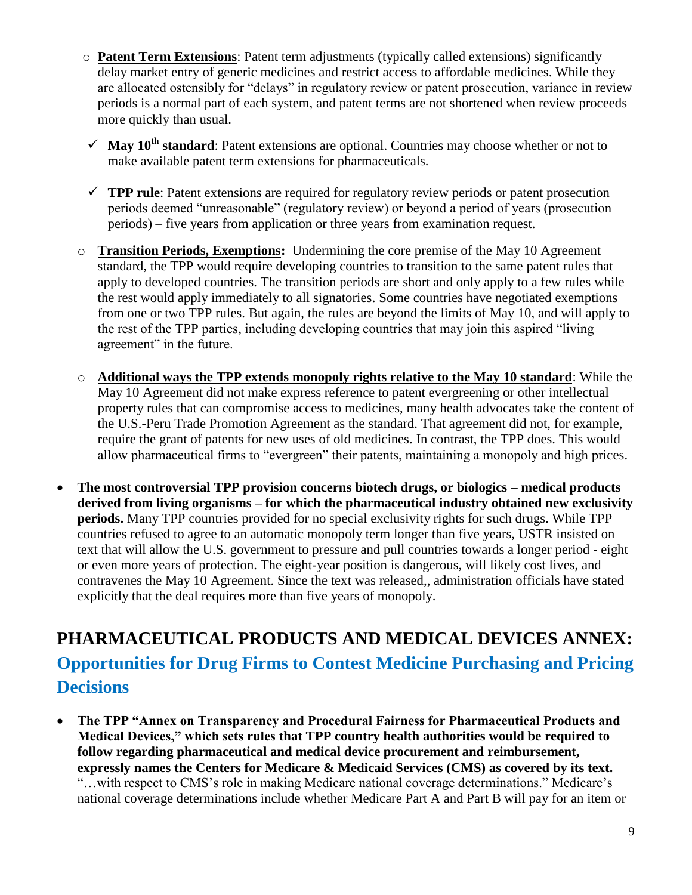- o **Patent Term Extensions**: Patent term adjustments (typically called extensions) significantly delay market entry of generic medicines and restrict access to affordable medicines. While they are allocated ostensibly for "delays" in regulatory review or patent prosecution, variance in review periods is a normal part of each system, and patent terms are not shortened when review proceeds more quickly than usual.
- $\checkmark$  **May 10<sup>th</sup> standard**: Patent extensions are optional. Countries may choose whether or not to make available patent term extensions for pharmaceuticals.
- $\checkmark$  **TPP rule**: Patent extensions are required for regulatory review periods or patent prosecution periods deemed "unreasonable" (regulatory review) or beyond a period of years (prosecution periods) – five years from application or three years from examination request.
- o **Transition Periods, Exemptions:** Undermining the core premise of the May 10 Agreement standard, the TPP would require developing countries to transition to the same patent rules that apply to developed countries. The transition periods are short and only apply to a few rules while the rest would apply immediately to all signatories. Some countries have negotiated exemptions from one or two TPP rules. But again, the rules are beyond the limits of May 10, and will apply to the rest of the TPP parties, including developing countries that may join this aspired "living agreement" in the future.
- o **Additional ways the TPP extends monopoly rights relative to the May 10 standard**: While the May 10 Agreement did not make express reference to patent evergreening or other intellectual property rules that can compromise access to medicines, many health advocates take the content of the U.S.-Peru Trade Promotion Agreement as the standard. That agreement did not, for example, require the grant of patents for new uses of old medicines. In contrast, the TPP does. This would allow pharmaceutical firms to "evergreen" their patents, maintaining a monopoly and high prices.
- **The most controversial TPP provision concerns biotech drugs, or biologics – medical products derived from living organisms – for which the pharmaceutical industry obtained new exclusivity periods.** Many TPP countries provided for no special exclusivity rights for such drugs. While TPP countries refused to agree to an automatic monopoly term longer than five years, USTR insisted on text that will allow the U.S. government to pressure and pull countries towards a longer period - eight or even more years of protection. The eight-year position is dangerous, will likely cost lives, and contravenes the May 10 Agreement. Since the text was released,, administration officials have stated explicitly that the deal requires more than five years of monopoly.

# **PHARMACEUTICAL PRODUCTS AND MEDICAL DEVICES ANNEX: Opportunities for Drug Firms to Contest Medicine Purchasing and Pricing Decisions**

 **The TPP "Annex on Transparency and Procedural Fairness for Pharmaceutical Products and Medical Devices," which sets rules that TPP country health authorities would be required to follow regarding pharmaceutical and medical device procurement and reimbursement, expressly names the Centers for Medicare & Medicaid Services (CMS) as covered by its text.** "…with respect to CMS's role in making Medicare national coverage determinations." Medicare's national coverage determinations include whether Medicare Part A and Part B will pay for an item or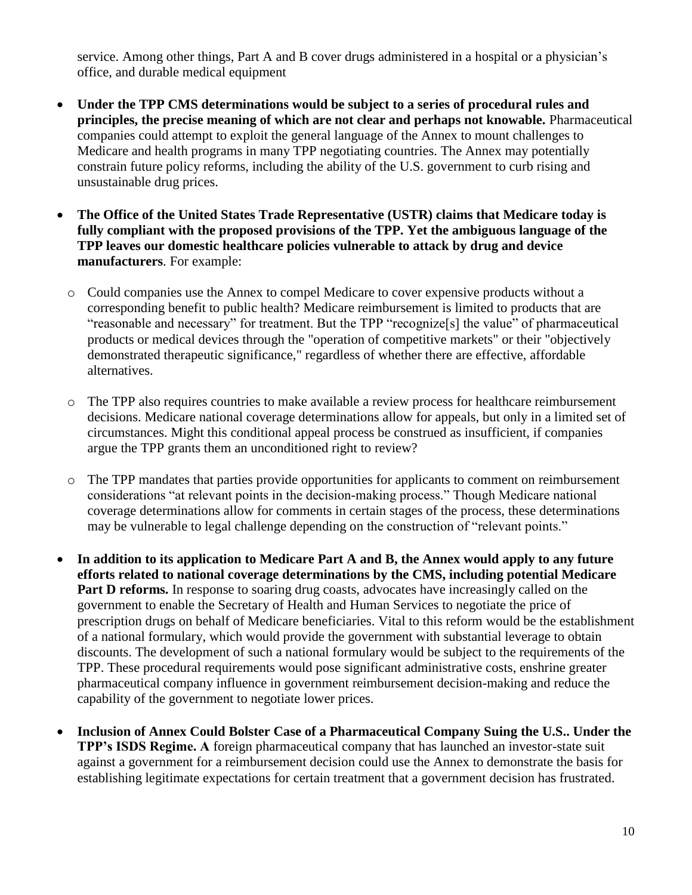service. Among other things, Part A and B cover drugs administered in a hospital or a physician's office, and durable medical equipment

- **Under the TPP CMS determinations would be subject to a series of procedural rules and principles, the precise meaning of which are not clear and perhaps not knowable.** Pharmaceutical companies could attempt to exploit the general language of the Annex to mount challenges to Medicare and health programs in many TPP negotiating countries. The Annex may potentially constrain future policy reforms, including the ability of the U.S. government to curb rising and unsustainable drug prices.
- **The Office of the United States Trade Representative (USTR) claims that Medicare today is fully compliant with the proposed provisions of the TPP. Yet the ambiguous language of the TPP leaves our domestic healthcare policies vulnerable to attack by drug and device manufacturers**. For example:
	- o Could companies use the Annex to compel Medicare to cover expensive products without a corresponding benefit to public health? Medicare reimbursement is limited to products that are "reasonable and necessary" for treatment. But the TPP "recognize[s] the value" of pharmaceutical products or medical devices through the "operation of competitive markets" or their "objectively demonstrated therapeutic significance," regardless of whether there are effective, affordable alternatives.
	- o The TPP also requires countries to make available a review process for healthcare reimbursement decisions. Medicare national coverage determinations allow for appeals, but only in a limited set of circumstances. Might this conditional appeal process be construed as insufficient, if companies argue the TPP grants them an unconditioned right to review?
	- o The TPP mandates that parties provide opportunities for applicants to comment on reimbursement considerations "at relevant points in the decision-making process." Though Medicare national coverage determinations allow for comments in certain stages of the process, these determinations may be vulnerable to legal challenge depending on the construction of "relevant points."
- **In addition to its application to Medicare Part A and B, the Annex would apply to any future efforts related to national coverage determinations by the CMS, including potential Medicare Part D reforms.** In response to soaring drug coasts, advocates have increasingly called on the government to enable the Secretary of Health and Human Services to negotiate the price of prescription drugs on behalf of Medicare beneficiaries. Vital to this reform would be the establishment of a national formulary, which would provide the government with substantial leverage to obtain discounts. The development of such a national formulary would be subject to the requirements of the TPP. These procedural requirements would pose significant administrative costs, enshrine greater pharmaceutical company influence in government reimbursement decision-making and reduce the capability of the government to negotiate lower prices.
- **Inclusion of Annex Could Bolster Case of a Pharmaceutical Company Suing the U.S.. Under the TPP's ISDS Regime. A** foreign pharmaceutical company that has launched an investor-state suit against a government for a reimbursement decision could use the Annex to demonstrate the basis for establishing legitimate expectations for certain treatment that a government decision has frustrated.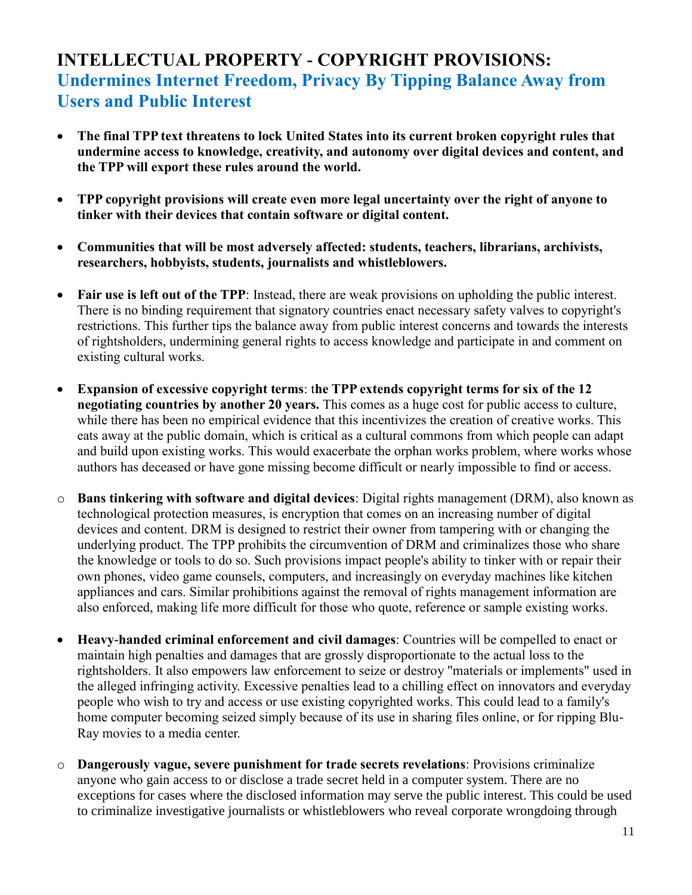### **INTELLECTUAL PROPERTY - COPYRIGHT PROVISIONS: Undermines Internet Freedom, Privacy By Tipping Balance Away from Users and Public Interest**

- **The final TPP text threatens to lock United States into its current broken copyright rules that undermine access to knowledge, creativity, and autonomy over digital devices and content, and the TPP will export these rules around the world.**
- **TPP copyright provisions will create even more legal uncertainty over the right of anyone to tinker with their devices that contain software or digital content.**
- **Communities that will be most adversely affected: students, teachers, librarians, archivists, researchers, hobbyists, students, journalists and whistleblowers.**
- **Fair use is left out of the TPP**: Instead, there are weak provisions on upholding the public interest. There is no binding requirement that signatory countries enact necessary safety valves to copyright's restrictions. This further tips the balance away from public interest concerns and towards the interests of rightsholders, undermining general rights to access knowledge and participate in and comment on existing cultural works.
- **Expansion of excessive copyright terms**: t**he TPP extends copyright terms for six of the 12 negotiating countries by another 20 years.** This comes as a huge cost for public access to culture, while there has been no empirical evidence that this incentivizes the creation of creative works. This eats away at the public domain, which is critical as a cultural commons from which people can adapt and build upon existing works. This would exacerbate the orphan works problem, where works whose authors has deceased or have gone missing become difficult or nearly impossible to find or access.
- o **Bans tinkering with software and digital devices**: Digital rights management (DRM), also known as technological protection measures, is encryption that comes on an increasing number of digital devices and content. DRM is designed to restrict their owner from tampering with or changing the underlying product. The TPP prohibits the circumvention of DRM and criminalizes those who share the knowledge or tools to do so. Such provisions impact people's ability to tinker with or repair their own phones, video game counsels, computers, and increasingly on everyday machines like kitchen appliances and cars. Similar prohibitions against the removal of rights management information are also enforced, making life more difficult for those who quote, reference or sample existing works.
- **Heavy-handed criminal enforcement and civil damages**: Countries will be compelled to enact or maintain high penalties and damages that are grossly disproportionate to the actual loss to the rightsholders. It also empowers law enforcement to seize or destroy "materials or implements" used in the alleged infringing activity. Excessive penalties lead to a chilling effect on innovators and everyday people who wish to try and access or use existing copyrighted works. This could lead to a family's home computer becoming seized simply because of its use in sharing files online, or for ripping Blu-Ray movies to a media center.
- o **Dangerously vague, severe punishment for trade secrets revelations**: Provisions criminalize anyone who gain access to or disclose a trade secret held in a computer system. There are no exceptions for cases where the disclosed information may serve the public interest. This could be used to criminalize investigative journalists or whistleblowers who reveal corporate wrongdoing through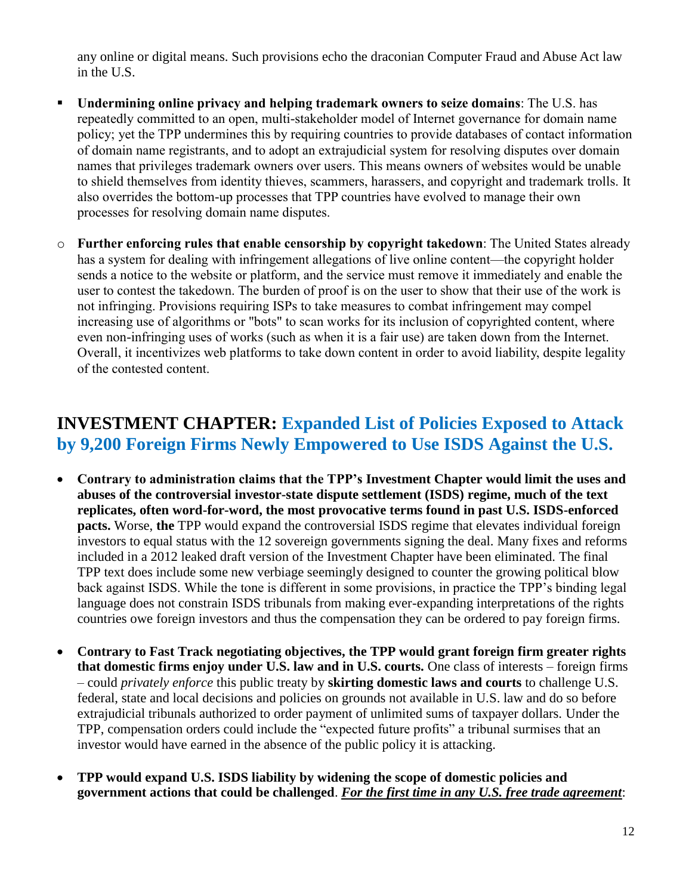any online or digital means. Such provisions echo the draconian Computer Fraud and Abuse Act law in the U.S.

- **Undermining online privacy and helping trademark owners to seize domains**: The U.S. has repeatedly committed to an open, multi-stakeholder model of Internet governance for domain name policy; yet the TPP undermines this by requiring countries to provide databases of contact information of domain name registrants, and to adopt an extrajudicial system for resolving disputes over domain names that privileges trademark owners over users. This means owners of websites would be unable to shield themselves from identity thieves, scammers, harassers, and copyright and trademark trolls. It also overrides the bottom-up processes that TPP countries have evolved to manage their own processes for resolving domain name disputes.
- o **Further enforcing rules that enable censorship by copyright takedown**: The United States already has a system for dealing with infringement allegations of live online content—the copyright holder sends a notice to the website or platform, and the service must remove it immediately and enable the user to contest the takedown. The burden of proof is on the user to show that their use of the work is not infringing. Provisions requiring ISPs to take measures to combat infringement may compel increasing use of algorithms or "bots" to scan works for its inclusion of copyrighted content, where even non-infringing uses of works (such as when it is a fair use) are taken down from the Internet. Overall, it incentivizes web platforms to take down content in order to avoid liability, despite legality of the contested content.

#### **INVESTMENT CHAPTER: Expanded List of Policies Exposed to Attack by 9,200 Foreign Firms Newly Empowered to Use ISDS Against the U.S.**

- **Contrary to administration claims that the TPP's Investment Chapter would limit the uses and abuses of the controversial investor-state dispute settlement (ISDS) regime, much of the text replicates, often word-for-word, the most provocative terms found in past U.S. ISDS-enforced pacts.** Worse, **the** TPP would expand the controversial ISDS regime that elevates individual foreign investors to equal status with the 12 sovereign governments signing the deal. Many fixes and reforms included in a 2012 leaked draft version of the Investment Chapter have been eliminated. The final TPP text does include some new verbiage seemingly designed to counter the growing political blow back against ISDS. While the tone is different in some provisions, in practice the TPP's binding legal language does not constrain ISDS tribunals from making ever-expanding interpretations of the rights countries owe foreign investors and thus the compensation they can be ordered to pay foreign firms.
- **Contrary to Fast Track negotiating objectives, the TPP would grant foreign firm greater rights that domestic firms enjoy under U.S. law and in U.S. courts.** One class of interests – foreign firms – could *privately enforce* this public treaty by **skirting domestic laws and courts** to challenge U.S. federal, state and local decisions and policies on grounds not available in U.S. law and do so before extrajudicial tribunals authorized to order payment of unlimited sums of taxpayer dollars. Under the TPP, compensation orders could include the "expected future profits" a tribunal surmises that an investor would have earned in the absence of the public policy it is attacking.
- **TPP would expand U.S. ISDS liability by widening the scope of domestic policies and government actions that could be challenged**. *For the first time in any U.S. free trade agreement*: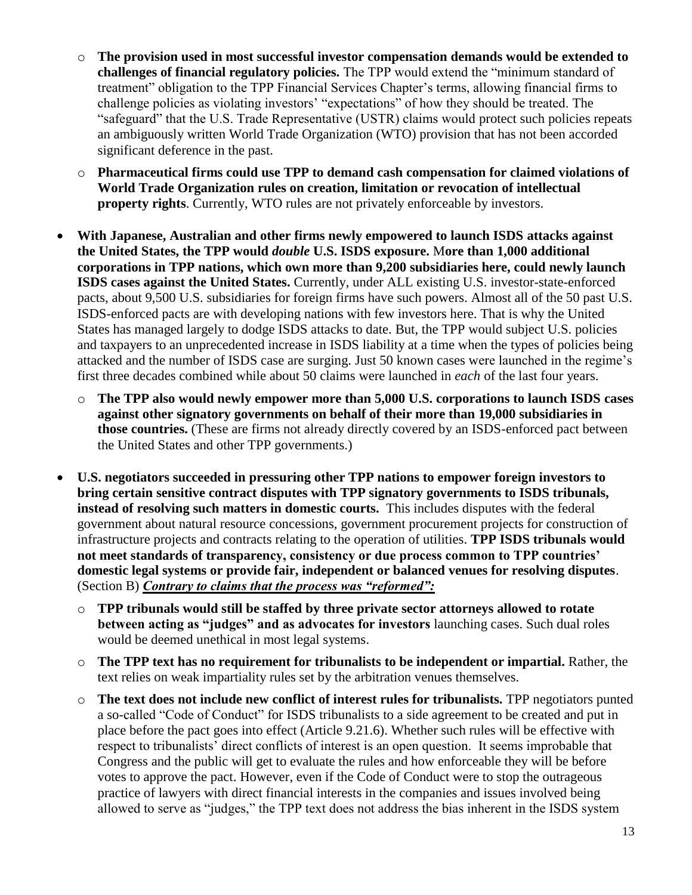- o **The provision used in most successful investor compensation demands would be extended to challenges of financial regulatory policies.** The TPP would extend the "minimum standard of treatment" obligation to the TPP Financial Services Chapter's terms, allowing financial firms to challenge policies as violating investors' "expectations" of how they should be treated. The "safeguard" that the U.S. Trade Representative (USTR) claims would protect such policies repeats an ambiguously written World Trade Organization (WTO) provision that has not been accorded significant deference in the past.
- o **Pharmaceutical firms could use TPP to demand cash compensation for claimed violations of World Trade Organization rules on creation, limitation or revocation of intellectual property rights**. Currently, WTO rules are not privately enforceable by investors.
- **With Japanese, Australian and other firms newly empowered to launch ISDS attacks against the United States, the TPP would** *double* **U.S. ISDS exposure.** M**ore than 1,000 additional corporations in TPP nations, which own more than 9,200 subsidiaries here, could newly launch ISDS cases against the United States.** Currently, under ALL existing U.S. investor-state-enforced pacts, about 9,500 U.S. subsidiaries for foreign firms have such powers. Almost all of the 50 past U.S. ISDS-enforced pacts are with developing nations with few investors here. That is why the United States has managed largely to dodge ISDS attacks to date. But, the TPP would subject U.S. policies and taxpayers to an unprecedented increase in ISDS liability at a time when the types of policies being attacked and the number of ISDS case are surging. Just 50 known cases were launched in the regime's first three decades combined while about 50 claims were launched in *each* of the last four years.
	- o **The TPP also would newly empower more than 5,000 U.S. corporations to launch ISDS cases against other signatory governments on behalf of their more than 19,000 subsidiaries in those countries.** (These are firms not already directly covered by an ISDS-enforced pact between the United States and other TPP governments.)
- **U.S. negotiators succeeded in pressuring other TPP nations to empower foreign investors to bring certain sensitive contract disputes with TPP signatory governments to ISDS tribunals, instead of resolving such matters in domestic courts.** This includes disputes with the federal government about natural resource concessions, government procurement projects for construction of infrastructure projects and contracts relating to the operation of utilities. **TPP ISDS tribunals would not meet standards of transparency, consistency or due process common to TPP countries' domestic legal systems or provide fair, independent or balanced venues for resolving disputes**. (Section B) *Contrary to claims that the process was "reformed":*
	- o **TPP tribunals would still be staffed by three private sector attorneys allowed to rotate between acting as "judges" and as advocates for investors** launching cases. Such dual roles would be deemed unethical in most legal systems.
	- o **The TPP text has no requirement for tribunalists to be independent or impartial.** Rather, the text relies on weak impartiality rules set by the arbitration venues themselves.
	- o **The text does not include new conflict of interest rules for tribunalists.** TPP negotiators punted a so-called "Code of Conduct" for ISDS tribunalists to a side agreement to be created and put in place before the pact goes into effect (Article 9.21.6). Whether such rules will be effective with respect to tribunalists' direct conflicts of interest is an open question. It seems improbable that Congress and the public will get to evaluate the rules and how enforceable they will be before votes to approve the pact. However, even if the Code of Conduct were to stop the outrageous practice of lawyers with direct financial interests in the companies and issues involved being allowed to serve as "judges," the TPP text does not address the bias inherent in the ISDS system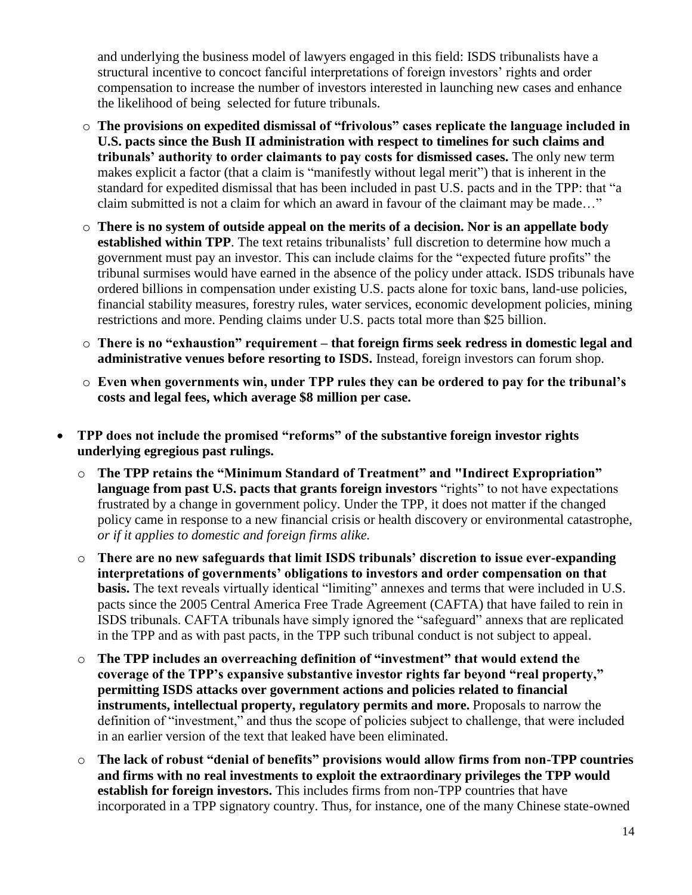and underlying the business model of lawyers engaged in this field: ISDS tribunalists have a structural incentive to concoct fanciful interpretations of foreign investors' rights and order compensation to increase the number of investors interested in launching new cases and enhance the likelihood of being selected for future tribunals.

- o **The provisions on expedited dismissal of "frivolous" cases replicate the language included in U.S. pacts since the Bush II administration with respect to timelines for such claims and tribunals' authority to order claimants to pay costs for dismissed cases.** The only new term makes explicit a factor (that a claim is "manifestly without legal merit") that is inherent in the standard for expedited dismissal that has been included in past U.S. pacts and in the TPP: that "a claim submitted is not a claim for which an award in favour of the claimant may be made…"
- o **There is no system of outside appeal on the merits of a decision. Nor is an appellate body established within TPP**. The text retains tribunalists' full discretion to determine how much a government must pay an investor. This can include claims for the "expected future profits" the tribunal surmises would have earned in the absence of the policy under attack. ISDS tribunals have ordered billions in compensation under existing U.S. pacts alone for toxic bans, land-use policies, financial stability measures, forestry rules, water services, economic development policies, mining restrictions and more. Pending claims under U.S. pacts total more than \$25 billion.
- o **There is no "exhaustion" requirement – that foreign firms seek redress in domestic legal and administrative venues before resorting to ISDS.** Instead, foreign investors can forum shop.
- o **Even when governments win, under TPP rules they can be ordered to pay for the tribunal's costs and legal fees, which average \$8 million per case.**
- **TPP does not include the promised "reforms" of the substantive foreign investor rights underlying egregious past rulings.** 
	- o **The TPP retains the "Minimum Standard of Treatment" and "Indirect Expropriation" language from past U.S. pacts that grants foreign investors** "rights" to not have expectations frustrated by a change in government policy. Under the TPP, it does not matter if the changed policy came in response to a new financial crisis or health discovery or environmental catastrophe, *or if it applies to domestic and foreign firms alike.*
	- o **There are no new safeguards that limit ISDS tribunals' discretion to issue ever-expanding interpretations of governments' obligations to investors and order compensation on that basis.** The text reveals virtually identical "limiting" annexes and terms that were included in U.S. pacts since the 2005 Central America Free Trade Agreement (CAFTA) that have failed to rein in ISDS tribunals. CAFTA tribunals have simply ignored the "safeguard" annexs that are replicated in the TPP and as with past pacts, in the TPP such tribunal conduct is not subject to appeal.
	- o **The TPP includes an overreaching definition of "investment" that would extend the coverage of the TPP's expansive substantive investor rights far beyond "real property," permitting ISDS attacks over government actions and policies related to financial instruments, intellectual property, regulatory permits and more.** Proposals to narrow the definition of "investment," and thus the scope of policies subject to challenge, that were included in an earlier version of the text that leaked have been eliminated.
	- o **The lack of robust "denial of benefits" provisions would allow firms from non-TPP countries and firms with no real investments to exploit the extraordinary privileges the TPP would establish for foreign investors.** This includes firms from non-TPP countries that have incorporated in a TPP signatory country. Thus, for instance, one of the many Chinese state-owned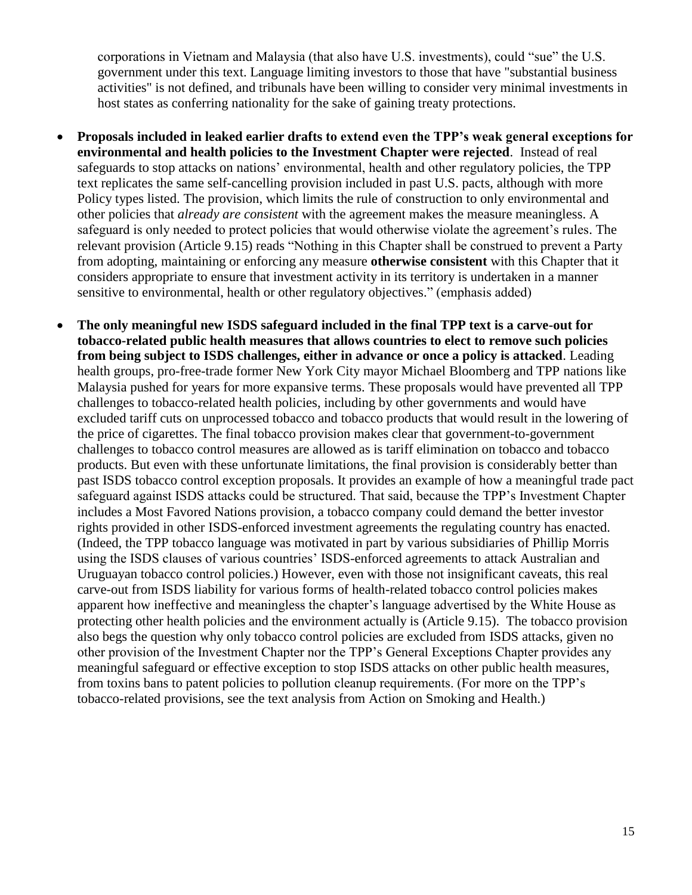corporations in Vietnam and Malaysia (that also have U.S. investments), could "sue" the U.S. government under this text. Language limiting investors to those that have "substantial business activities" is not defined, and tribunals have been willing to consider very minimal investments in host states as conferring nationality for the sake of gaining treaty protections.

- **Proposals included in leaked earlier drafts to extend even the TPP's weak general exceptions for environmental and health policies to the Investment Chapter were rejected**. Instead of real safeguards to stop attacks on nations' environmental, health and other regulatory policies, the TPP text replicates the same self-cancelling provision included in past U.S. pacts, although with more Policy types listed. The provision, which limits the rule of construction to only environmental and other policies that *already are consistent* with the agreement makes the measure meaningless. A safeguard is only needed to protect policies that would otherwise violate the agreement's rules. The relevant provision (Article 9.15) reads "Nothing in this Chapter shall be construed to prevent a Party from adopting, maintaining or enforcing any measure **otherwise consistent** with this Chapter that it considers appropriate to ensure that investment activity in its territory is undertaken in a manner sensitive to environmental, health or other regulatory objectives." (emphasis added)
- **The only meaningful new ISDS safeguard included in the final TPP text is a carve-out for tobacco-related public health measures that allows countries to elect to remove such policies from being subject to ISDS challenges, either in advance or once a policy is attacked**. Leading health groups, pro-free-trade former New York City mayor Michael Bloomberg and TPP nations like Malaysia pushed for years for more expansive terms. These proposals would have prevented all TPP challenges to tobacco-related health policies, including by other governments and would have excluded tariff cuts on unprocessed tobacco and tobacco products that would result in the lowering of the price of cigarettes. The final tobacco provision makes clear that government-to-government challenges to tobacco control measures are allowed as is tariff elimination on tobacco and tobacco products. But even with these unfortunate limitations, the final provision is considerably better than past ISDS tobacco control exception proposals. It provides an example of how a meaningful trade pact safeguard against ISDS attacks could be structured. That said, because the TPP's Investment Chapter includes a Most Favored Nations provision, a tobacco company could demand the better investor rights provided in other ISDS-enforced investment agreements the regulating country has enacted. (Indeed, the TPP tobacco language was motivated in part by various subsidiaries of Phillip Morris using the ISDS clauses of various countries' ISDS-enforced agreements to attack Australian and Uruguayan tobacco control policies.) However, even with those not insignificant caveats, this real carve-out from ISDS liability for various forms of health-related tobacco control policies makes apparent how ineffective and meaningless the chapter's language advertised by the White House as protecting other health policies and the environment actually is (Article 9.15). The tobacco provision also begs the question why only tobacco control policies are excluded from ISDS attacks, given no other provision of the Investment Chapter nor the TPP's General Exceptions Chapter provides any meaningful safeguard or effective exception to stop ISDS attacks on other public health measures, from toxins bans to patent policies to pollution cleanup requirements. (For more on the TPP's tobacco-related provisions, see the text analysis from Action on Smoking and Health.)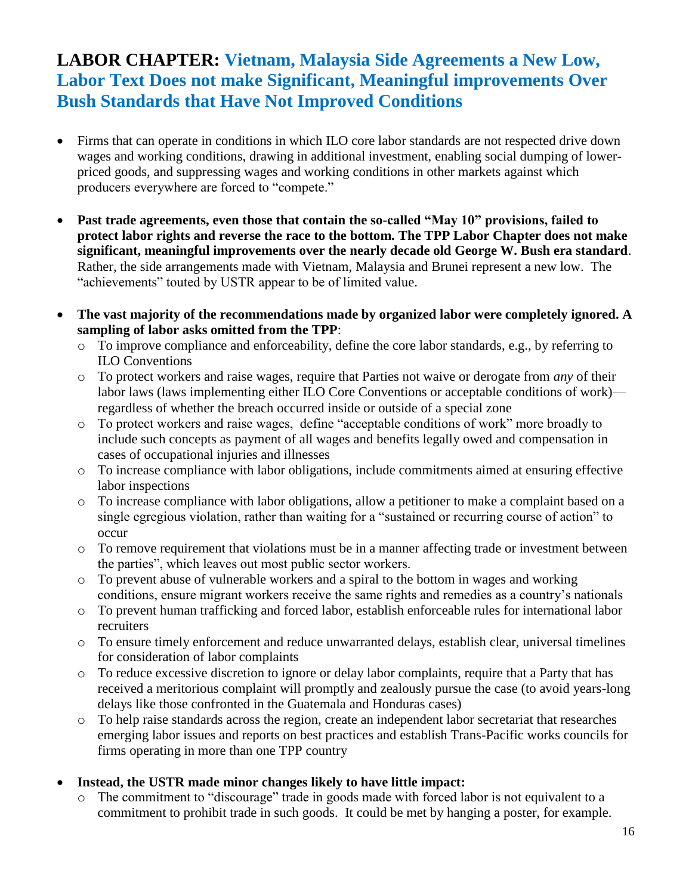### **LABOR CHAPTER: Vietnam, Malaysia Side Agreements a New Low, Labor Text Does not make Significant, Meaningful improvements Over Bush Standards that Have Not Improved Conditions**

- Firms that can operate in conditions in which ILO core labor standards are not respected drive down wages and working conditions, drawing in additional investment, enabling social dumping of lowerpriced goods, and suppressing wages and working conditions in other markets against which producers everywhere are forced to "compete."
- **Past trade agreements, even those that contain the so-called "May 10" provisions, failed to protect labor rights and reverse the race to the bottom. The TPP Labor Chapter does not make significant, meaningful improvements over the nearly decade old George W. Bush era standard**. Rather, the side arrangements made with Vietnam, Malaysia and Brunei represent a new low. The "achievements" touted by USTR appear to be of limited value.
- **The vast majority of the recommendations made by organized labor were completely ignored. A sampling of labor asks omitted from the TPP**:
	- o To improve compliance and enforceability, define the core labor standards, e.g., by referring to ILO Conventions
	- o To protect workers and raise wages, require that Parties not waive or derogate from *any* of their labor laws (laws implementing either ILO Core Conventions or acceptable conditions of work) regardless of whether the breach occurred inside or outside of a special zone
	- o To protect workers and raise wages, define "acceptable conditions of work" more broadly to include such concepts as payment of all wages and benefits legally owed and compensation in cases of occupational injuries and illnesses
	- o To increase compliance with labor obligations, include commitments aimed at ensuring effective labor inspections
	- o To increase compliance with labor obligations, allow a petitioner to make a complaint based on a single egregious violation, rather than waiting for a "sustained or recurring course of action" to occur
	- o To remove requirement that violations must be in a manner affecting trade or investment between the parties", which leaves out most public sector workers.
	- o To prevent abuse of vulnerable workers and a spiral to the bottom in wages and working conditions, ensure migrant workers receive the same rights and remedies as a country's nationals
	- o To prevent human trafficking and forced labor, establish enforceable rules for international labor recruiters
	- o To ensure timely enforcement and reduce unwarranted delays, establish clear, universal timelines for consideration of labor complaints
	- o To reduce excessive discretion to ignore or delay labor complaints, require that a Party that has received a meritorious complaint will promptly and zealously pursue the case (to avoid years-long delays like those confronted in the Guatemala and Honduras cases)
	- o To help raise standards across the region, create an independent labor secretariat that researches emerging labor issues and reports on best practices and establish Trans-Pacific works councils for firms operating in more than one TPP country

#### **Instead, the USTR made minor changes likely to have little impact:**

o The commitment to "discourage" trade in goods made with forced labor is not equivalent to a commitment to prohibit trade in such goods. It could be met by hanging a poster, for example.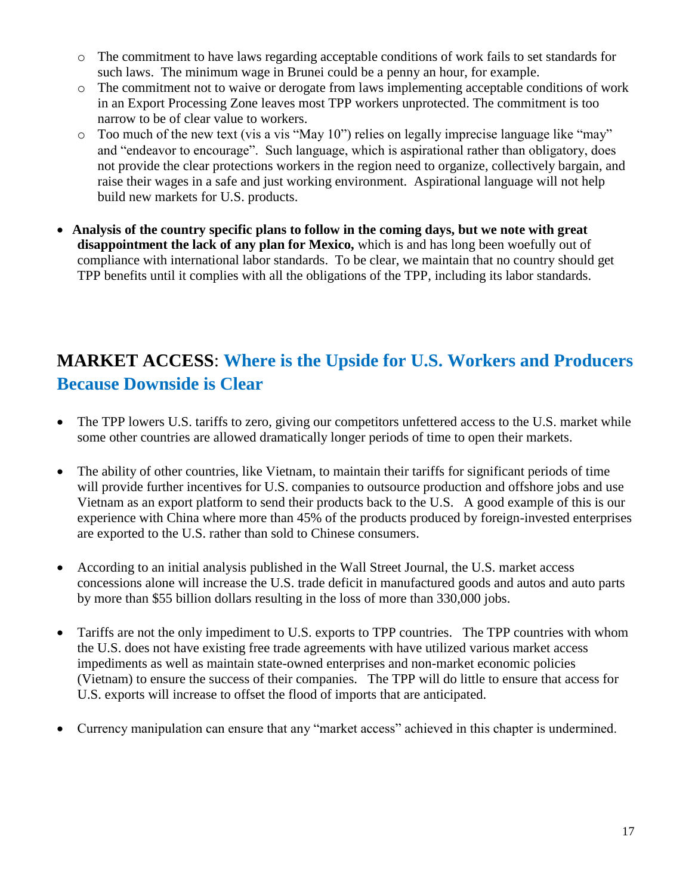- o The commitment to have laws regarding acceptable conditions of work fails to set standards for such laws. The minimum wage in Brunei could be a penny an hour, for example.
- o The commitment not to waive or derogate from laws implementing acceptable conditions of work in an Export Processing Zone leaves most TPP workers unprotected. The commitment is too narrow to be of clear value to workers.
- o Too much of the new text (vis a vis "May 10") relies on legally imprecise language like "may" and "endeavor to encourage". Such language, which is aspirational rather than obligatory, does not provide the clear protections workers in the region need to organize, collectively bargain, and raise their wages in a safe and just working environment. Aspirational language will not help build new markets for U.S. products.
- **Analysis of the country specific plans to follow in the coming days, but we note with great disappointment the lack of any plan for Mexico,** which is and has long been woefully out of compliance with international labor standards. To be clear, we maintain that no country should get TPP benefits until it complies with all the obligations of the TPP, including its labor standards.

### **MARKET ACCESS**: **Where is the Upside for U.S. Workers and Producers Because Downside is Clear**

- The TPP lowers U.S. tariffs to zero, giving our competitors unfettered access to the U.S. market while some other countries are allowed dramatically longer periods of time to open their markets.
- The ability of other countries, like Vietnam, to maintain their tariffs for significant periods of time will provide further incentives for U.S. companies to outsource production and offshore jobs and use Vietnam as an export platform to send their products back to the U.S. A good example of this is our experience with China where more than 45% of the products produced by foreign-invested enterprises are exported to the U.S. rather than sold to Chinese consumers.
- According to an initial analysis published in the Wall Street Journal, the U.S. market access concessions alone will increase the U.S. trade deficit in manufactured goods and autos and auto parts by more than \$55 billion dollars resulting in the loss of more than 330,000 jobs.
- Tariffs are not the only impediment to U.S. exports to TPP countries. The TPP countries with whom the U.S. does not have existing free trade agreements with have utilized various market access impediments as well as maintain state-owned enterprises and non-market economic policies (Vietnam) to ensure the success of their companies. The TPP will do little to ensure that access for U.S. exports will increase to offset the flood of imports that are anticipated.
- Currency manipulation can ensure that any "market access" achieved in this chapter is undermined.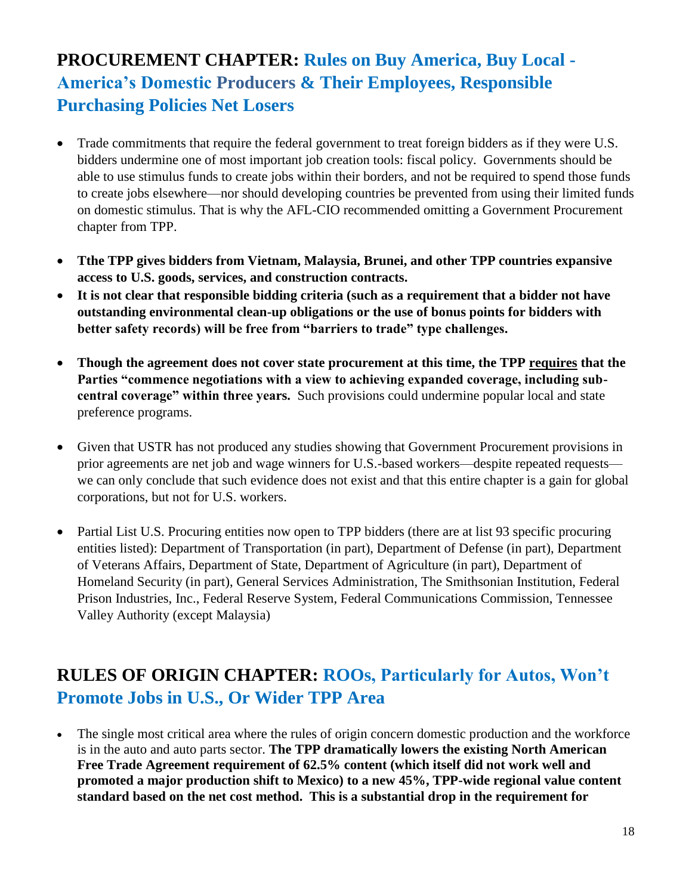# **PROCUREMENT CHAPTER: Rules on Buy America, Buy Local - America's Domestic Producers & Their Employees, Responsible Purchasing Policies Net Losers**

- Trade commitments that require the federal government to treat foreign bidders as if they were U.S. bidders undermine one of most important job creation tools: fiscal policy. Governments should be able to use stimulus funds to create jobs within their borders, and not be required to spend those funds to create jobs elsewhere—nor should developing countries be prevented from using their limited funds on domestic stimulus. That is why the AFL-CIO recommended omitting a Government Procurement chapter from TPP.
- **Tthe TPP gives bidders from Vietnam, Malaysia, Brunei, and other TPP countries expansive access to U.S. goods, services, and construction contracts.**
- **It is not clear that responsible bidding criteria (such as a requirement that a bidder not have outstanding environmental clean-up obligations or the use of bonus points for bidders with better safety records) will be free from "barriers to trade" type challenges.**
- **Though the agreement does not cover state procurement at this time, the TPP requires that the Parties "commence negotiations with a view to achieving expanded coverage, including subcentral coverage" within three years.** Such provisions could undermine popular local and state preference programs.
- Given that USTR has not produced any studies showing that Government Procurement provisions in prior agreements are net job and wage winners for U.S.-based workers—despite repeated requests we can only conclude that such evidence does not exist and that this entire chapter is a gain for global corporations, but not for U.S. workers.
- Partial List U.S. Procuring entities now open to TPP bidders (there are at list 93 specific procuring entities listed): Department of Transportation (in part), Department of Defense (in part), Department of Veterans Affairs, Department of State, Department of Agriculture (in part), Department of Homeland Security (in part), General Services Administration, The Smithsonian Institution, Federal Prison Industries, Inc., Federal Reserve System, Federal Communications Commission, Tennessee Valley Authority (except Malaysia)

# **RULES OF ORIGIN CHAPTER: ROOs, Particularly for Autos, Won't Promote Jobs in U.S., Or Wider TPP Area**

 The single most critical area where the rules of origin concern domestic production and the workforce is in the auto and auto parts sector. **The TPP dramatically lowers the existing North American Free Trade Agreement requirement of 62.5% content (which itself did not work well and promoted a major production shift to Mexico) to a new 45%, TPP-wide regional value content standard based on the net cost method. This is a substantial drop in the requirement for**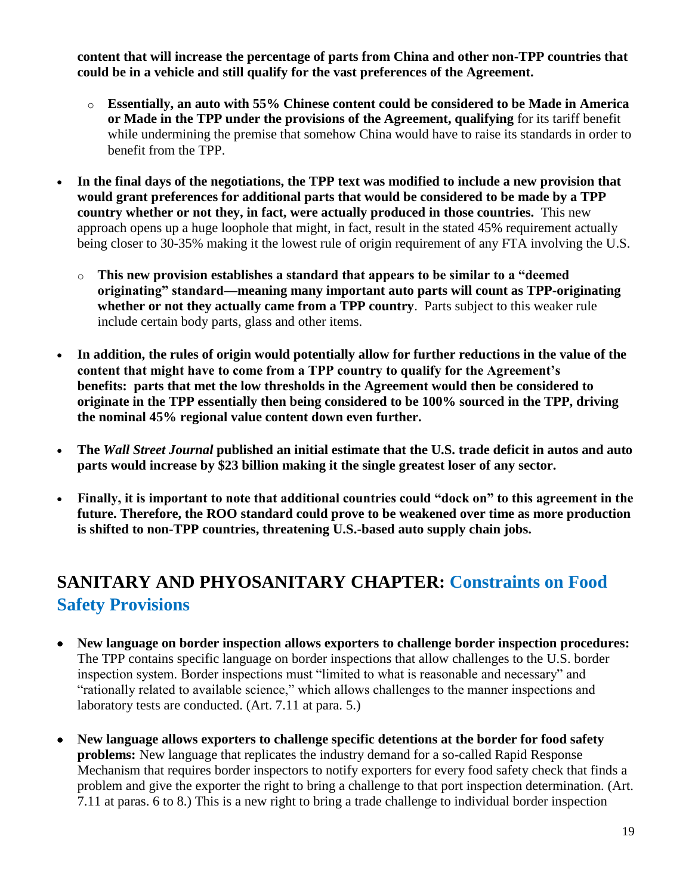**content that will increase the percentage of parts from China and other non-TPP countries that could be in a vehicle and still qualify for the vast preferences of the Agreement.**

- o **Essentially, an auto with 55% Chinese content could be considered to be Made in America or Made in the TPP under the provisions of the Agreement, qualifying** for its tariff benefit while undermining the premise that somehow China would have to raise its standards in order to benefit from the TPP.
- **In the final days of the negotiations, the TPP text was modified to include a new provision that would grant preferences for additional parts that would be considered to be made by a TPP country whether or not they, in fact, were actually produced in those countries.** This new approach opens up a huge loophole that might, in fact, result in the stated 45% requirement actually being closer to 30-35% making it the lowest rule of origin requirement of any FTA involving the U.S.
	- o **This new provision establishes a standard that appears to be similar to a "deemed originating" standard—meaning many important auto parts will count as TPP-originating whether or not they actually came from a TPP country**. Parts subject to this weaker rule include certain body parts, glass and other items.
- **In addition, the rules of origin would potentially allow for further reductions in the value of the content that might have to come from a TPP country to qualify for the Agreement's benefits: parts that met the low thresholds in the Agreement would then be considered to originate in the TPP essentially then being considered to be 100% sourced in the TPP, driving the nominal 45% regional value content down even further.**
- **The** *Wall Street Journal* **published an initial estimate that the U.S. trade deficit in autos and auto parts would increase by \$23 billion making it the single greatest loser of any sector.**
- **Finally, it is important to note that additional countries could "dock on" to this agreement in the future. Therefore, the ROO standard could prove to be weakened over time as more production is shifted to non-TPP countries, threatening U.S.-based auto supply chain jobs.**

# **SANITARY AND PHYOSANITARY CHAPTER: Constraints on Food Safety Provisions**

- **New language on border inspection allows exporters to challenge border inspection procedures:**  The TPP contains specific language on border inspections that allow challenges to the U.S. border inspection system. Border inspections must "limited to what is reasonable and necessary" and "rationally related to available science," which allows challenges to the manner inspections and laboratory tests are conducted. (Art. 7.11 at para. 5.)
- **New language allows exporters to challenge specific detentions at the border for food safety problems:** New language that replicates the industry demand for a so-called Rapid Response Mechanism that requires border inspectors to notify exporters for every food safety check that finds a problem and give the exporter the right to bring a challenge to that port inspection determination. (Art. 7.11 at paras. 6 to 8.) This is a new right to bring a trade challenge to individual border inspection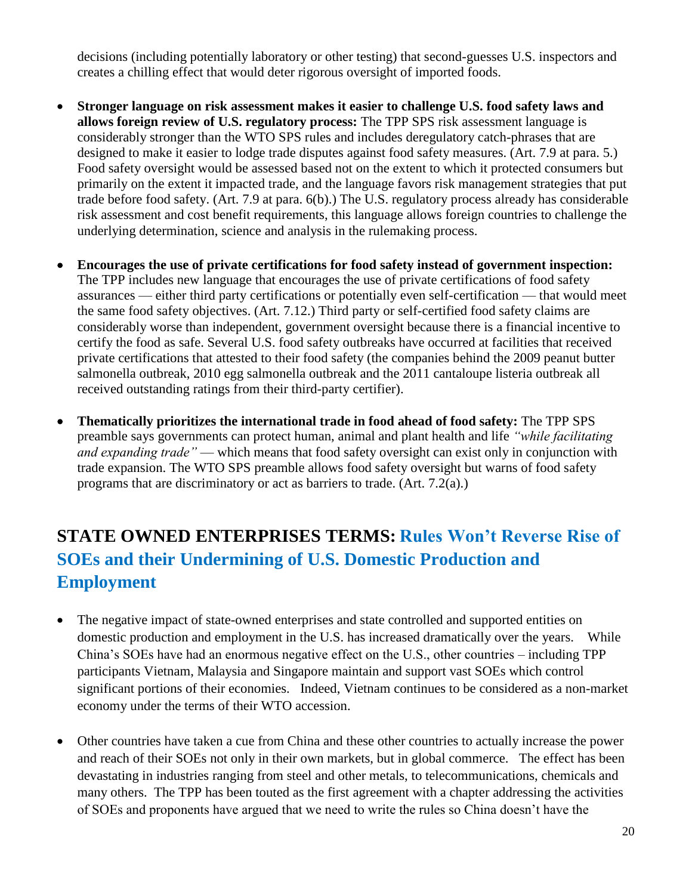decisions (including potentially laboratory or other testing) that second-guesses U.S. inspectors and creates a chilling effect that would deter rigorous oversight of imported foods.

- **Stronger language on risk assessment makes it easier to challenge U.S. food safety laws and allows foreign review of U.S. regulatory process:** The TPP SPS risk assessment language is considerably stronger than the WTO SPS rules and includes deregulatory catch-phrases that are designed to make it easier to lodge trade disputes against food safety measures. (Art. 7.9 at para. 5.) Food safety oversight would be assessed based not on the extent to which it protected consumers but primarily on the extent it impacted trade, and the language favors risk management strategies that put trade before food safety. (Art. 7.9 at para. 6(b).) The U.S. regulatory process already has considerable risk assessment and cost benefit requirements, this language allows foreign countries to challenge the underlying determination, science and analysis in the rulemaking process.
- **Encourages the use of private certifications for food safety instead of government inspection:**  The TPP includes new language that encourages the use of private certifications of food safety assurances — either third party certifications or potentially even self-certification — that would meet the same food safety objectives. (Art. 7.12.) Third party or self-certified food safety claims are considerably worse than independent, government oversight because there is a financial incentive to certify the food as safe. Several U.S. food safety outbreaks have occurred at facilities that received private certifications that attested to their food safety (the companies behind the 2009 peanut butter salmonella outbreak, 2010 egg salmonella outbreak and the 2011 cantaloupe listeria outbreak all received outstanding ratings from their third-party certifier).
- **Thematically prioritizes the international trade in food ahead of food safety:** The TPP SPS preamble says governments can protect human, animal and plant health and life *"while facilitating and expanding trade"* — which means that food safety oversight can exist only in conjunction with trade expansion. The WTO SPS preamble allows food safety oversight but warns of food safety programs that are discriminatory or act as barriers to trade. (Art. 7.2(a).)

# **STATE OWNED ENTERPRISES TERMS: Rules Won't Reverse Rise of SOEs and their Undermining of U.S. Domestic Production and Employment**

- The negative impact of state-owned enterprises and state controlled and supported entities on domestic production and employment in the U.S. has increased dramatically over the years. While China's SOEs have had an enormous negative effect on the U.S., other countries – including TPP participants Vietnam, Malaysia and Singapore maintain and support vast SOEs which control significant portions of their economies. Indeed, Vietnam continues to be considered as a non-market economy under the terms of their WTO accession.
- Other countries have taken a cue from China and these other countries to actually increase the power and reach of their SOEs not only in their own markets, but in global commerce. The effect has been devastating in industries ranging from steel and other metals, to telecommunications, chemicals and many others. The TPP has been touted as the first agreement with a chapter addressing the activities of SOEs and proponents have argued that we need to write the rules so China doesn't have the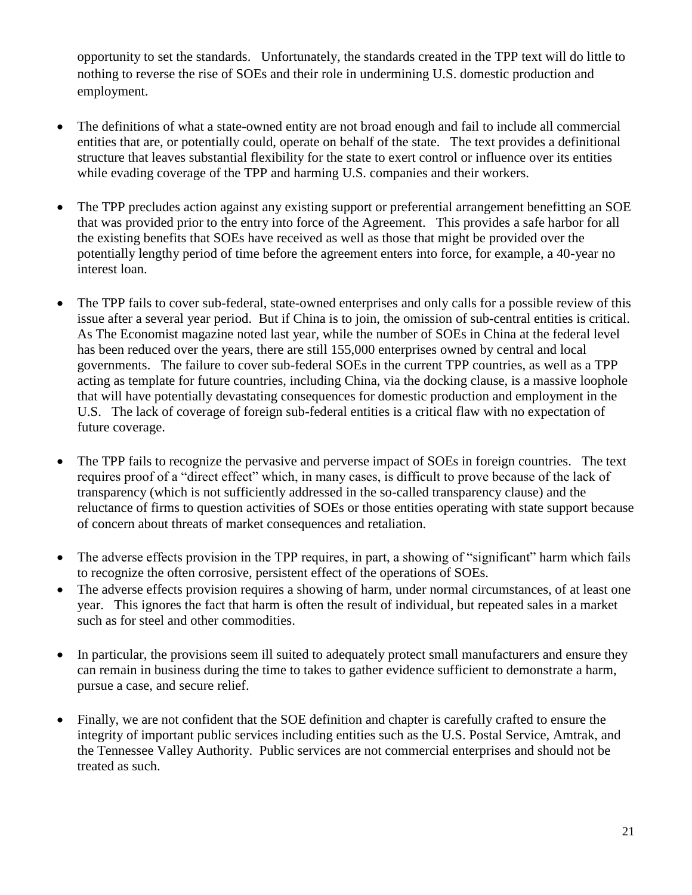opportunity to set the standards. Unfortunately, the standards created in the TPP text will do little to nothing to reverse the rise of SOEs and their role in undermining U.S. domestic production and employment.

- The definitions of what a state-owned entity are not broad enough and fail to include all commercial entities that are, or potentially could, operate on behalf of the state. The text provides a definitional structure that leaves substantial flexibility for the state to exert control or influence over its entities while evading coverage of the TPP and harming U.S. companies and their workers.
- The TPP precludes action against any existing support or preferential arrangement benefitting an SOE that was provided prior to the entry into force of the Agreement. This provides a safe harbor for all the existing benefits that SOEs have received as well as those that might be provided over the potentially lengthy period of time before the agreement enters into force, for example, a 40-year no interest loan.
- The TPP fails to cover sub-federal, state-owned enterprises and only calls for a possible review of this issue after a several year period. But if China is to join, the omission of sub-central entities is critical. As The Economist magazine noted last year, while the number of SOEs in China at the federal level has been reduced over the years, there are still 155,000 enterprises owned by central and local governments. The failure to cover sub-federal SOEs in the current TPP countries, as well as a TPP acting as template for future countries, including China, via the docking clause, is a massive loophole that will have potentially devastating consequences for domestic production and employment in the U.S. The lack of coverage of foreign sub-federal entities is a critical flaw with no expectation of future coverage.
- The TPP fails to recognize the pervasive and perverse impact of SOEs in foreign countries. The text requires proof of a "direct effect" which, in many cases, is difficult to prove because of the lack of transparency (which is not sufficiently addressed in the so-called transparency clause) and the reluctance of firms to question activities of SOEs or those entities operating with state support because of concern about threats of market consequences and retaliation.
- The adverse effects provision in the TPP requires, in part, a showing of "significant" harm which fails to recognize the often corrosive, persistent effect of the operations of SOEs.
- The adverse effects provision requires a showing of harm, under normal circumstances, of at least one year. This ignores the fact that harm is often the result of individual, but repeated sales in a market such as for steel and other commodities.
- In particular, the provisions seem ill suited to adequately protect small manufacturers and ensure they can remain in business during the time to takes to gather evidence sufficient to demonstrate a harm, pursue a case, and secure relief.
- Finally, we are not confident that the SOE definition and chapter is carefully crafted to ensure the integrity of important public services including entities such as the U.S. Postal Service, Amtrak, and the Tennessee Valley Authority. Public services are not commercial enterprises and should not be treated as such.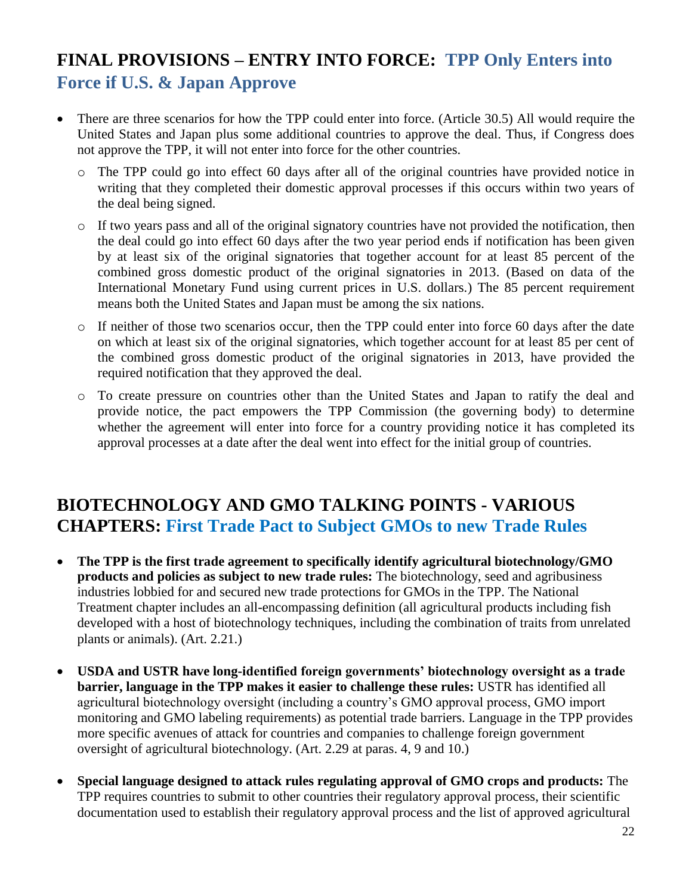# **FINAL PROVISIONS – ENTRY INTO FORCE: TPP Only Enters into Force if U.S. & Japan Approve**

- There are three scenarios for how the TPP could enter into force. (Article 30.5) All would require the United States and Japan plus some additional countries to approve the deal. Thus, if Congress does not approve the TPP, it will not enter into force for the other countries.
	- o The TPP could go into effect 60 days after all of the original countries have provided notice in writing that they completed their domestic approval processes if this occurs within two years of the deal being signed.
	- o If two years pass and all of the original signatory countries have not provided the notification, then the deal could go into effect 60 days after the two year period ends if notification has been given by at least six of the original signatories that together account for at least 85 percent of the combined gross domestic product of the original signatories in 2013. (Based on data of the International Monetary Fund using current prices in U.S. dollars.) The 85 percent requirement means both the United States and Japan must be among the six nations.
	- o If neither of those two scenarios occur, then the TPP could enter into force 60 days after the date on which at least six of the original signatories, which together account for at least 85 per cent of the combined gross domestic product of the original signatories in 2013, have provided the required notification that they approved the deal.
	- o To create pressure on countries other than the United States and Japan to ratify the deal and provide notice, the pact empowers the TPP Commission (the governing body) to determine whether the agreement will enter into force for a country providing notice it has completed its approval processes at a date after the deal went into effect for the initial group of countries.

#### **BIOTECHNOLOGY AND GMO TALKING POINTS - VARIOUS CHAPTERS: First Trade Pact to Subject GMOs to new Trade Rules**

- **The TPP is the first trade agreement to specifically identify agricultural biotechnology/GMO products and policies as subject to new trade rules:** The biotechnology, seed and agribusiness industries lobbied for and secured new trade protections for GMOs in the TPP. The National Treatment chapter includes an all-encompassing definition (all agricultural products including fish developed with a host of biotechnology techniques, including the combination of traits from unrelated plants or animals). (Art. 2.21.)
- **USDA and USTR have long-identified foreign governments' biotechnology oversight as a trade barrier, language in the TPP makes it easier to challenge these rules:** USTR has identified all agricultural biotechnology oversight (including a country's GMO approval process, GMO import monitoring and GMO labeling requirements) as potential trade barriers. Language in the TPP provides more specific avenues of attack for countries and companies to challenge foreign government oversight of agricultural biotechnology. (Art. 2.29 at paras. 4, 9 and 10.)
- **Special language designed to attack rules regulating approval of GMO crops and products:** The TPP requires countries to submit to other countries their regulatory approval process, their scientific documentation used to establish their regulatory approval process and the list of approved agricultural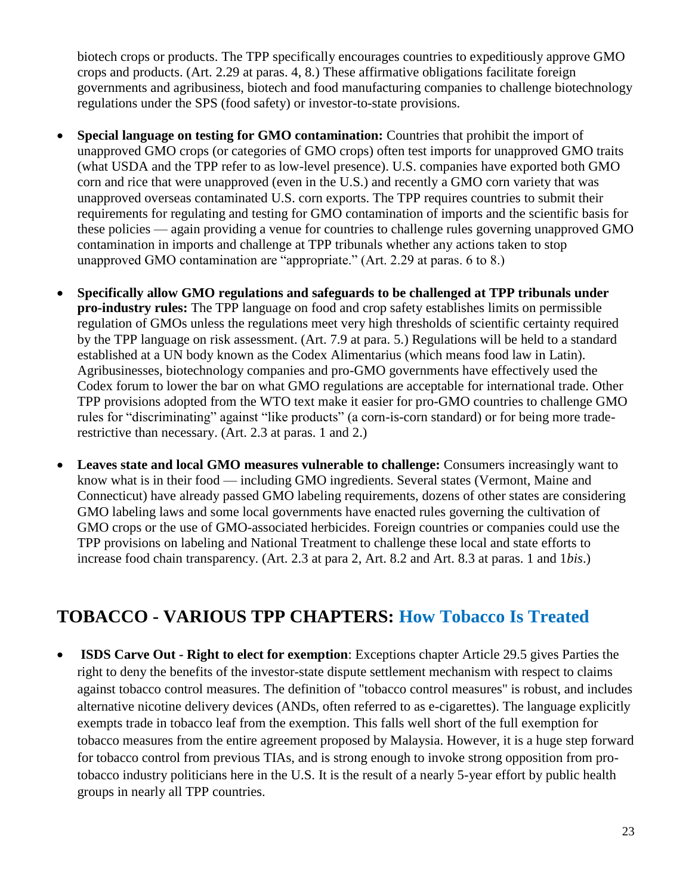biotech crops or products. The TPP specifically encourages countries to expeditiously approve GMO crops and products. (Art. 2.29 at paras. 4, 8.) These affirmative obligations facilitate foreign governments and agribusiness, biotech and food manufacturing companies to challenge biotechnology regulations under the SPS (food safety) or investor-to-state provisions.

- **Special language on testing for GMO contamination:** Countries that prohibit the import of unapproved GMO crops (or categories of GMO crops) often test imports for unapproved GMO traits (what USDA and the TPP refer to as low-level presence). U.S. companies have exported both GMO corn and rice that were unapproved (even in the U.S.) and recently a GMO corn variety that was unapproved overseas contaminated U.S. corn exports. The TPP requires countries to submit their requirements for regulating and testing for GMO contamination of imports and the scientific basis for these policies — again providing a venue for countries to challenge rules governing unapproved GMO contamination in imports and challenge at TPP tribunals whether any actions taken to stop unapproved GMO contamination are "appropriate." (Art. 2.29 at paras. 6 to 8.)
- **Specifically allow GMO regulations and safeguards to be challenged at TPP tribunals under pro-industry rules:** The TPP language on food and crop safety establishes limits on permissible regulation of GMOs unless the regulations meet very high thresholds of scientific certainty required by the TPP language on risk assessment. (Art. 7.9 at para. 5.) Regulations will be held to a standard established at a UN body known as the Codex Alimentarius (which means food law in Latin). Agribusinesses, biotechnology companies and pro-GMO governments have effectively used the Codex forum to lower the bar on what GMO regulations are acceptable for international trade. Other TPP provisions adopted from the WTO text make it easier for pro-GMO countries to challenge GMO rules for "discriminating" against "like products" (a corn-is-corn standard) or for being more traderestrictive than necessary. (Art. 2.3 at paras. 1 and 2.)
- **Leaves state and local GMO measures vulnerable to challenge:** Consumers increasingly want to know what is in their food — including GMO ingredients. Several states (Vermont, Maine and Connecticut) have already passed GMO labeling requirements, dozens of other states are considering GMO labeling laws and some local governments have enacted rules governing the cultivation of GMO crops or the use of GMO-associated herbicides. Foreign countries or companies could use the TPP provisions on labeling and National Treatment to challenge these local and state efforts to increase food chain transparency. (Art. 2.3 at para 2, Art. 8.2 and Art. 8.3 at paras. 1 and 1*bis*.)

### **TOBACCO - VARIOUS TPP CHAPTERS: How Tobacco Is Treated**

 **ISDS Carve Out - Right to elect for exemption**: Exceptions chapter Article 29.5 gives Parties the right to deny the benefits of the investor-state dispute settlement mechanism with respect to claims against tobacco control measures. The definition of "tobacco control measures" is robust, and includes alternative nicotine delivery devices (ANDs, often referred to as e-cigarettes). The language explicitly exempts trade in tobacco leaf from the exemption. This falls well short of the full exemption for tobacco measures from the entire agreement proposed by Malaysia. However, it is a huge step forward for tobacco control from previous TIAs, and is strong enough to invoke strong opposition from protobacco industry politicians here in the U.S. It is the result of a nearly 5-year effort by public health groups in nearly all TPP countries.